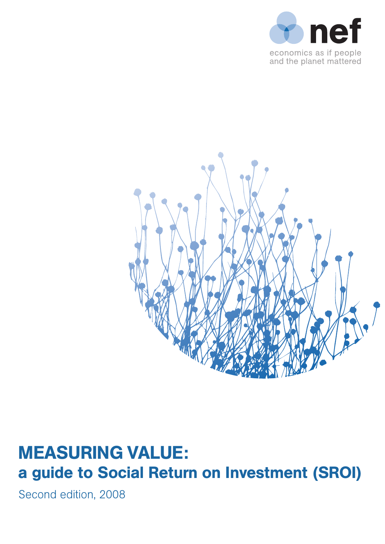



# **MEASURING VALUE:** a guide to Social Return on Investment (SROI)

Second edition, 2008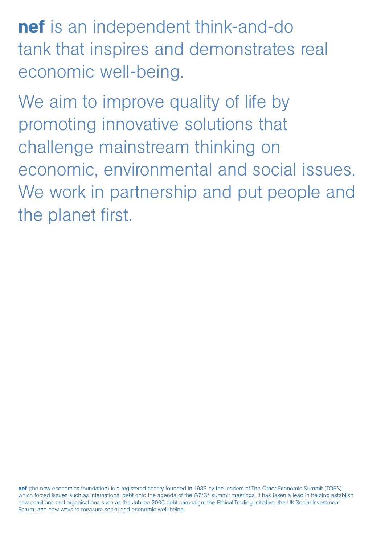nef is an independent think-and-do tank that inspires and demonstrates real economic well-being.

We aim to improve quality of life by promoting innovative solutions that challenge mainstream thinking on economic, environmental and social issues. We work in partnership and put people and the planet first.

nef (the new economics foundation) is a registered charity founded in 1986 by the leaders of The Other Economic Summit (TOES), which forced issues such as international debt onto the agenda of the G7/G\* summit meetings. It has taken a lead in helping establish new coalitions and organisations such as the Jubilee 2000 debt campaign; the Ethical Trading Initiative; the UK Social Investment Forum; and new ways to measure social and economic well-being.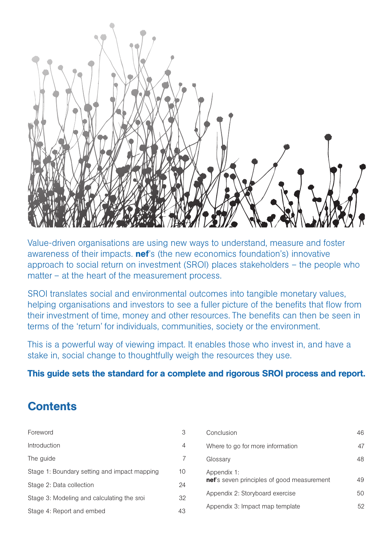

Value-driven organisations are using new ways to understand, measure and foster awareness of their impacts. **nef**'s (the new economics foundation's) innovative approach to social return on investment (SROI) places stakeholders – the people who matter – at the heart of the measurement process.

SROI translates social and environmental outcomes into tangible monetary values, helping organisations and investors to see a fuller picture of the benefits that flow from their investment of time, money and other resources. The benefits can then be seen in terms of the 'return' for individuals, communities, society or the environment.

This is a powerful way of viewing impact. It enables those who invest in, and have a stake in, social change to thoughtfully weigh the resources they use.

## This guide sets the standard for a complete and rigorous SROI process and report.

## **Contents**

| Foreword                                     | 3              | Conclusion                                 | 46 |
|----------------------------------------------|----------------|--------------------------------------------|----|
| Introduction                                 | $\overline{4}$ | Where to go for more information           | 47 |
| The guide                                    |                | Glossary                                   | 48 |
| Stage 1: Boundary setting and impact mapping | 10             | Appendix 1:                                |    |
| Stage 2: Data collection                     | 24             | nef's seven principles of good measurement | 49 |
| Stage 3: Modeling and calculating the sroi   | 32             | Appendix 2: Storyboard exercise            | 50 |
| Stage 4: Report and embed                    | 43             | Appendix 3: Impact map template            | 52 |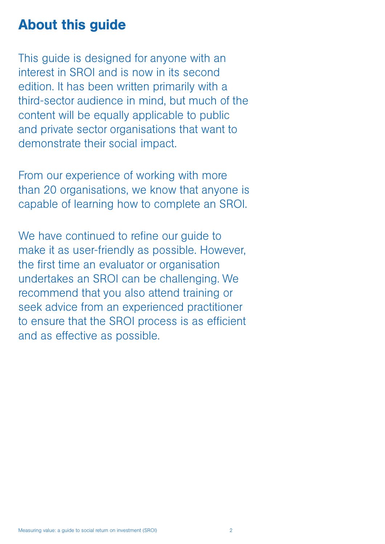## About this guide

This guide is designed for anyone with an interest in SROI and is now in its second edition. It has been written primarily with a third-sector audience in mind, but much of the content will be equally applicable to public and private sector organisations that want to demonstrate their social impact.

From our experience of working with more than 20 organisations, we know that anyone is capable of learning how to complete an SROI.

We have continued to refine our quide to make it as user-friendly as possible. However, the first time an evaluator or organisation undertakes an SROI can be challenging. We recommend that you also attend training or seek advice from an experienced practitioner to ensure that the SROI process is as efficient and as effective as possible.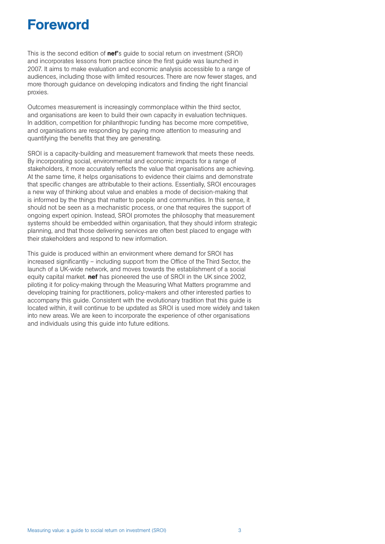## Foreword

This is the second edition of **nef'**s guide to social return on investment (SROI) and incorporates lessons from practice since the first guide was launched in 2007. It aims to make evaluation and economic analysis accessible to a range of audiences, including those with limited resources. There are now fewer stages, and more thorough guidance on developing indicators and finding the right financial proxies.

Outcomes measurement is increasingly commonplace within the third sector, and organisations are keen to build their own capacity in evaluation techniques. In addition, competition for philanthropic funding has become more competitive, and organisations are responding by paying more attention to measuring and quantifying the benefits that they are generating.

SROI is a capacity-building and measurement framework that meets these needs. By incorporating social, environmental and economic impacts for a range of stakeholders, it more accurately reflects the value that organisations are achieving. At the same time, it helps organisations to evidence their claims and demonstrate that specific changes are attributable to their actions. Essentially, SROI encourages a new way of thinking about value and enables a mode of decision-making that is informed by the things that matter to people and communities. In this sense, it should not be seen as a mechanistic process, or one that requires the support of ongoing expert opinion. Instead, SROI promotes the philosophy that measurement systems should be embedded within organisation, that they should inform strategic planning, and that those delivering services are often best placed to engage with their stakeholders and respond to new information.

This guide is produced within an environment where demand for SROI has increased significantly – including support from the Office of the Third Sector, the launch of a UK-wide network, and moves towards the establishment of a social equity capital market, **nef** has pioneered the use of SROI in the UK since 2002. piloting it for policy-making through the Measuring What Matters programme and developing training for practitioners, policy-makers and other interested parties to accompany this guide. Consistent with the evolutionary tradition that this guide is located within, it will continue to be updated as SROI is used more widely and taken into new areas. We are keen to incorporate the experience of other organisations and individuals using this guide into future editions.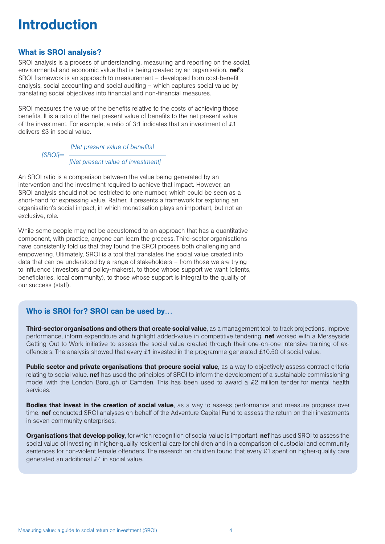## **Introduction**

## What is SROI analysis?

SROI analysis is a process of understanding, measuring and reporting on the social, environmental and economic value that is being created by an organisation. **nef's** SROI framework is an approach to measurement – developed from cost-benefit analysis, social accounting and social auditing – which captures social value by translating social objectives into financial and non-financial measures.

SROI measures the value of the benefits relative to the costs of achieving those benefits. It is a ratio of the net present value of benefits to the net present value of the investment. For example, a ratio of 3:1 indicates that an investment of £1 delivers £3 in social value.

> *[Net present value of benefits] [SROI]= [Net present value of investment]*

An SROI ratio is a comparison between the value being generated by an intervention and the investment required to achieve that impact. However, an SROI analysis should not be restricted to one number, which could be seen as a short-hand for expressing value. Rather, it presents a framework for exploring an organisation's social impact, in which monetisation plays an important, but not an exclusive, role.

While some people may not be accustomed to an approach that has a quantitative component, with practice, anyone can learn the process. Third-sector organisations have consistently told us that they found the SROI process both challenging and empowering. Ultimately, SROI is a tool that translates the social value created into data that can be understood by a range of stakeholders – from those we are trying to influence (investors and policy-makers), to those whose support we want (clients, beneficiaries, local community), to those whose support is integral to the quality of our success (staff).

## Who is SROI for? SROI can be used by…

Third-sector organisations and others that create social value, as a management tool, to track projections, improve performance, inform expenditure and highlight added-value in competitive tendering. nef worked with a Merseyside Getting Out to Work initiative to assess the social value created through their one-on-one intensive training of exoffenders. The analysis showed that every £1 invested in the programme generated £10.50 of social value.

Public sector and private organisations that procure social value, as a way to objectively assess contract criteria relating to social value. nef has used the principles of SROI to inform the development of a sustainable commissioning model with the London Borough of Camden. This has been used to award a £2 million tender for mental health services.

**Bodies that invest in the creation of social value**, as a way to assess performance and measure progress over time. nef conducted SROI analyses on behalf of the Adventure Capital Fund to assess the return on their investments in seven community enterprises.

**Organisations that develop policy**, for which recognition of social value is important. **nef** has used SROI to assess the social value of investing in higher-quality residential care for children and in a comparison of custodial and community sentences for non-violent female offenders. The research on children found that every £1 spent on higher-quality care generated an additional £4 in social value.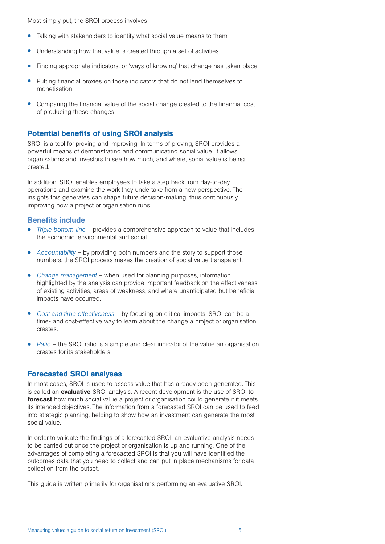Most simply put, the SROI process involves:

- Talking with stakeholders to identify what social value means to them
- Understanding how that value is created through a set of activities
- Finding appropriate indicators, or 'ways of knowing' that change has taken place
- Putting financial proxies on those indicators that do not lend themselves to monetisation
- Comparing the financial value of the social change created to the financial cost of producing these changes

#### Potential benefits of using SROI analysis

SROI is a tool for proving and improving. In terms of proving, SROI provides a powerful means of demonstrating and communicating social value. It allows organisations and investors to see how much, and where, social value is being created.

In addition, SROI enables employees to take a step back from day-to-day operations and examine the work they undertake from a new perspective. The insights this generates can shape future decision-making, thus continuously improving how a project or organisation runs.

#### Benefits include

- *Triple bottom-line* provides a comprehensive approach to value that includes the economic, environmental and social.
- *Accountability* by providing both numbers and the story to support those numbers, the SROI process makes the creation of social value transparent.
- *Change management* when used for planning purposes, information highlighted by the analysis can provide important feedback on the effectiveness of existing activities, areas of weakness, and where unanticipated but beneficial impacts have occurred.
- *Cost and time effectiveness* by focusing on critical impacts, SROI can be a time- and cost-effective way to learn about the change a project or organisation creates.
- *Ratio* the SROI ratio is a simple and clear indicator of the value an organisation creates for its stakeholders.

#### Forecasted SROI analyses

In most cases, SROI is used to assess value that has already been generated. This is called an evaluative SROI analysis. A recent development is the use of SROI to forecast how much social value a project or organisation could generate if it meets its intended objectives. The information from a forecasted SROI can be used to feed into strategic planning, helping to show how an investment can generate the most social value.

In order to validate the findings of a forecasted SROI, an evaluative analysis needs to be carried out once the project or organisation is up and running. One of the advantages of completing a forecasted SROI is that you will have identified the outcomes data that you need to collect and can put in place mechanisms for data collection from the outset.

This guide is written primarily for organisations performing an evaluative SROI.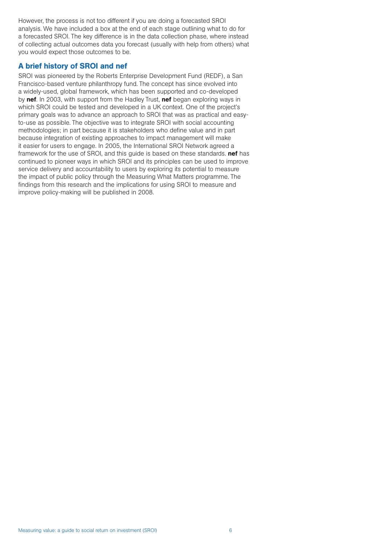However, the process is not too different if you are doing a forecasted SROI analysis. We have included a box at the end of each stage outlining what to do for a forecasted SROI. The key difference is in the data collection phase, where instead of collecting actual outcomes data you forecast (usually with help from others) what you would expect those outcomes to be.

## A brief history of SROI and nef

SROI was pioneered by the Roberts Enterprise Development Fund (REDF), a San Francisco-based venture philanthropy fund. The concept has since evolved into a widely-used, global framework, which has been supported and co-developed by nef. In 2003, with support from the Hadley Trust, nef began exploring ways in which SROI could be tested and developed in a UK context. One of the project's primary goals was to advance an approach to SROI that was as practical and easyto-use as possible. The objective was to integrate SROI with social accounting methodologies; in part because it is stakeholders who define value and in part because integration of existing approaches to impact management will make it easier for users to engage. In 2005, the International SROI Network agreed a framework for the use of SROI, and this guide is based on these standards. **nef** has continued to pioneer ways in which SROI and its principles can be used to improve service delivery and accountability to users by exploring its potential to measure the impact of public policy through the Measuring What Matters programme. The findings from this research and the implications for using SROI to measure and improve policy-making will be published in 2008.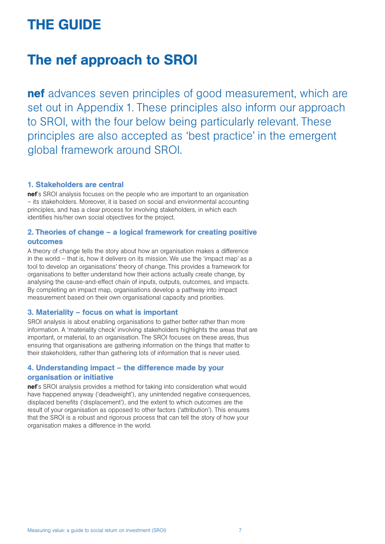# THE GUIDE

## The nef approach to SROI

nef advances seven principles of good measurement, which are set out in Appendix 1. These principles also inform our approach to SROI, with the four below being particularly relevant. These principles are also accepted as 'best practice' in the emergent global framework around SROI.

#### 1. Stakeholders are central

nef's SROI analysis focuses on the people who are important to an organisation – its stakeholders. Moreover, it is based on social and environmental accounting principles, and has a clear process for involving stakeholders, in which each identifies his/her own social objectives for the project.

## 2. Theories of change – a logical framework for creating positive outcomes

A theory of change tells the story about how an organisation makes a difference in the world – that is, how it delivers on its mission. We use the 'impact map' as a tool to develop an organisations' theory of change. This provides a framework for organisations to better understand how their actions actually create change, by analysing the cause-and-effect chain of inputs, outputs, outcomes, and impacts. By completing an impact map, organisations develop a pathway into impact measurement based on their own organisational capacity and priorities.

## 3. Materiality – focus on what is important

SROI analysis is about enabling organisations to gather better rather than more information. A 'materiality check' involving stakeholders highlights the areas that are important, or material, to an organisation. The SROI focuses on these areas, thus ensuring that organisations are gathering information on the things that matter to their stakeholders, rather than gathering lots of information that is never used.

## 4. Understanding impact – the difference made by your organisation or initiative

nef's SROI analysis provides a method for taking into consideration what would have happened anyway ('deadweight'), any unintended negative consequences, displaced benefits ('displacement'), and the extent to which outcomes are the result of your organisation as opposed to other factors ('attribution'). This ensures that the SROI is a robust and rigorous process that can tell the story of how your organisation makes a difference in the world.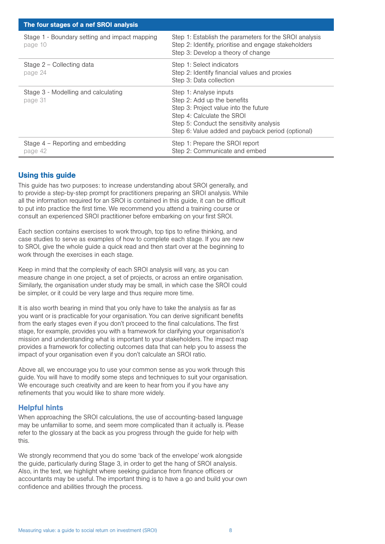| The four stages of a nef SROI analysis                   |                                                                                                                                                                                                                               |  |  |  |
|----------------------------------------------------------|-------------------------------------------------------------------------------------------------------------------------------------------------------------------------------------------------------------------------------|--|--|--|
| Stage 1 - Boundary setting and impact mapping<br>page 10 | Step 1: Establish the parameters for the SROI analysis<br>Step 2: Identify, prioritise and engage stakeholders<br>Step 3: Develop a theory of change                                                                          |  |  |  |
| Stage 2 – Collecting data<br>page 24                     | Step 1: Select indicators<br>Step 2: Identify financial values and proxies<br>Step 3: Data collection                                                                                                                         |  |  |  |
| Stage 3 - Modelling and calculating<br>page 31           | Step 1: Analyse inputs<br>Step 2: Add up the benefits<br>Step 3: Project value into the future<br>Step 4: Calculate the SROI<br>Step 5: Conduct the sensitivity analysis<br>Step 6: Value added and payback period (optional) |  |  |  |
| Stage $4$ – Reporting and embedding<br>page 42           | Step 1: Prepare the SROI report<br>Step 2: Communicate and embed                                                                                                                                                              |  |  |  |

## Using this guide

This guide has two purposes: to increase understanding about SROI generally, and to provide a step-by-step prompt for practitioners preparing an SROI analysis. While all the information required for an SROI is contained in this guide, it can be difficult to put into practice the first time. We recommend you attend a training course or consult an experienced SROI practitioner before embarking on your first SROI.

Each section contains exercises to work through, top tips to refine thinking, and case studies to serve as examples of how to complete each stage. If you are new to SROI, give the whole guide a quick read and then start over at the beginning to work through the exercises in each stage.

Keep in mind that the complexity of each SROI analysis will vary, as you can measure change in one project, a set of projects, or across an entire organisation. Similarly, the organisation under study may be small, in which case the SROI could be simpler, or it could be very large and thus require more time.

It is also worth bearing in mind that you only have to take the analysis as far as you want or is practicable for your organisation. You can derive significant benefits from the early stages even if you don't proceed to the final calculations. The first stage, for example, provides you with a framework for clarifying your organisation's mission and understanding what is important to your stakeholders. The impact map provides a framework for collecting outcomes data that can help you to assess the impact of your organisation even if you don't calculate an SROI ratio.

Above all, we encourage you to use your common sense as you work through this guide. You will have to modify some steps and techniques to suit your organisation. We encourage such creativity and are keen to hear from you if you have any refinements that you would like to share more widely.

## Helpful hints

When approaching the SROI calculations, the use of accounting-based language may be unfamiliar to some, and seem more complicated than it actually is. Please refer to the glossary at the back as you progress through the guide for help with this.

We strongly recommend that you do some 'back of the envelope' work alongside the guide, particularly during Stage 3, in order to get the hang of SROI analysis. Also, in the text, we highlight where seeking guidance from finance officers or accountants may be useful. The important thing is to have a go and build your own confidence and abilities through the process.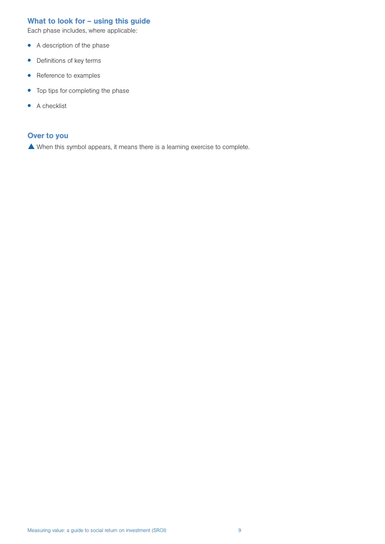## What to look for – using this guide

Each phase includes, where applicable:

- A description of the phase
- Definitions of key terms
- Reference to examples
- Top tips for completing the phase
- A checklist

#### Over to you

When this symbol appears, it means there is a learning exercise to complete.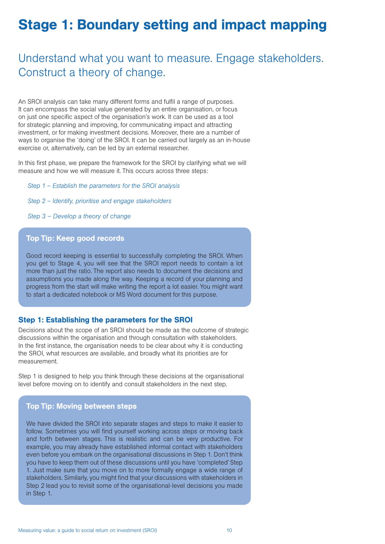## Stage 1: Boundary setting and impact mapping

## Understand what you want to measure. Engage stakeholders. Construct a theory of change.

An SROI analysis can take many different forms and fulfil a range of purposes. It can encompass the social value generated by an entire organisation, or focus on just one specific aspect of the organisation's work. It can be used as a tool for strategic planning and improving, for communicating impact and attracting investment, or for making investment decisions. Moreover, there are a number of ways to organise the 'doing' of the SROI. It can be carried out largely as an in-house exercise or, alternatively, can be led by an external researcher.

In this first phase, we prepare the framework for the SROI by clarifying what we will measure and how we will measure it. This occurs across three steps:

*Step 1 – Establish the parameters for the SROI analysis*

*Step 2 – Identify, prioritise and engage stakeholders*

*Step 3 – Develop a theory of change*

## Top Tip: Keep good records

Good record keeping is essential to successfully completing the SROI. When you get to Stage 4, you will see that the SROI report needs to contain a lot more than just the ratio. The report also needs to document the decisions and assumptions you made along the way. Keeping a record of your planning and progress from the start will make writing the report a lot easier. You might want to start a dedicated notebook or MS Word document for this purpose.

#### Step 1: Establishing the parameters for the SROI

Decisions about the scope of an SROI should be made as the outcome of strategic discussions within the organisation and through consultation with stakeholders. In the first instance, the organisation needs to be clear about why it is conducting the SROI, what resources are available, and broadly what its priorities are for measurement.

Step 1 is designed to help you think through these decisions at the organisational level before moving on to identify and consult stakeholders in the next step.

#### Top Tip: Moving between steps

We have divided the SROI into separate stages and steps to make it easier to follow. Sometimes you will find yourself working across steps or moving back and forth between stages. This is realistic and can be very productive. For example, you may already have established informal contact with stakeholders even before you embark on the organisational discussions in Step 1. Don't think you have to keep them out of these discussions until you have 'completed' Step 1. Just make sure that you move on to more formally engage a wide range of stakeholders. Similarly, you might find that your discussions with stakeholders in Step 2 lead you to revisit some of the organisational-level decisions you made in Step 1.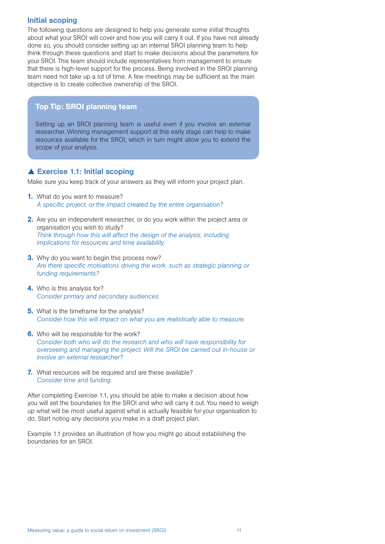#### Initial scoping

The following questions are designed to help you generate some initial thoughts about what your SROI will cover and how you will carry it out. If you have not already done so, you should consider setting up an internal SROI planning team to help think through these questions and start to make decisions about the parameters for your SROI. This team should include representatives from management to ensure that there is high-level support for the process. Being involved in the SROI planning team need not take up a lot of time. A few meetings may be sufficient as the main objective is to create collective ownership of the SROI.

## Top Tip: SROI planning team

Setting up an SROI planning team is useful even if you involve an external researcher. Winning management support at this early stage can help to make resources available for the SROI, which in turn might allow you to extend the scope of your analysis.

## ▲ Exercise 1.1: Initial scoping

Make sure you keep track of your answers as they will inform your project plan.

- **1.** What do you want to measure? *A specific project, or the impact created by the entire organisation?*
- 2. Are you an independent researcher, or do you work within the project area or organisation you wish to study? *Think through how this will affect the design of the analysis, including implications for resources and time availability.*
- **3.** Why do you want to begin this process now? *Are there specific motivations driving the work, such as strategic planning or funding requirements?*
- 4. Who is this analysis for? *Consider primary and secondary audiences.*
- **5.** What is the timeframe for the analysis? *Consider how this will impact on what you are realistically able to measure.*
- **6.** Who will be responsible for the work? *Consider both who will do the research and who will have responsibility for overseeing and managing the project. Will the SROI be carried out in-house or involve an external researcher?*
- 7. What resources will be required and are these available? *Consider time and funding.*

After completing Exercise 1.1, you should be able to make a decision about how you will set the boundaries for the SROI and who will carry it out. You need to weigh up what will be most useful against what is actually feasible for your organisation to do. Start noting any decisions you make in a draft project plan.

Example 1.1 provides an illustration of how you might go about establishing the boundaries for an SROI.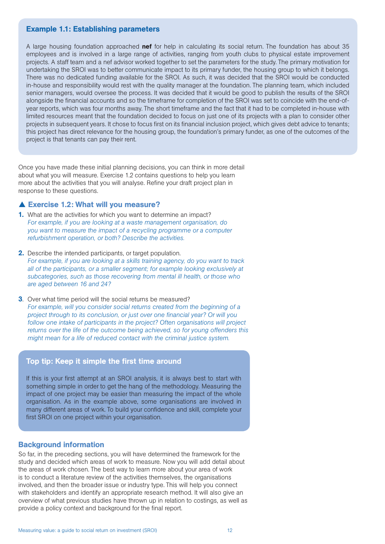#### Example 1.1: Establishing parameters

A large housing foundation approached **nef** for help in calculating its social return. The foundation has about 35 employees and is involved in a large range of activities, ranging from youth clubs to physical estate improvement projects. A staff team and a nef advisor worked together to set the parameters for the study. The primary motivation for undertaking the SROI was to better communicate impact to its primary funder, the housing group to which it belongs. There was no dedicated funding available for the SROI. As such, it was decided that the SROI would be conducted in-house and responsibility would rest with the quality manager at the foundation. The planning team, which included senior managers, would oversee the process. It was decided that it would be good to publish the results of the SROI alongside the financial accounts and so the timeframe for completion of the SROI was set to coincide with the end-ofyear reports, which was four months away. The short timeframe and the fact that it had to be completed in-house with limited resources meant that the foundation decided to focus on just one of its projects with a plan to consider other projects in subsequent years. It chose to focus first on its financial inclusion project, which gives debt advice to tenants; this project has direct relevance for the housing group, the foundation's primary funder, as one of the outcomes of the project is that tenants can pay their rent.

Once you have made these initial planning decisions, you can think in more detail about what you will measure. Exercise 1.2 contains questions to help you learn more about the activities that you will analyse. Refine your draft project plan in response to these questions.

#### ▲ Exercise 1.2: What will you measure?

- 1. What are the activities for which you want to determine an impact? *For example, if you are looking at a waste management organisation, do you want to measure the impact of a recycling programme or a computer refurbishment operation, or both? Describe the activities.*
- 2. Describe the intended participants, or target population. *For example, if you are looking at a skills training agency, do you want to track all of the participants, or a smaller segment; for example looking exclusively at subcategories, such as those recovering from mental ill health, or those who are aged between 16 and 24?*
- **3.** Over what time period will the social returns be measured? *For example, will you consider social returns created from the beginning of a project through to its conclusion, or just over one financial year? Or will you follow one intake of participants in the project? Often organisations will project returns over the life of the outcome being achieved, so for young offenders this might mean for a life of reduced contact with the criminal justice system.*

#### Top tip: Keep it simple the first time around

If this is your first attempt at an SROI analysis, it is always best to start with something simple in order to get the hang of the methodology. Measuring the impact of one project may be easier than measuring the impact of the whole organisation. As in the example above, some organisations are involved in many different areas of work. To build your confidence and skill, complete your first SROI on one project within your organisation.

#### Background information

So far, in the preceding sections, you will have determined the framework for the study and decided which areas of work to measure. Now you will add detail about the areas of work chosen. The best way to learn more about your area of work is to conduct a literature review of the activities themselves, the organisations involved, and then the broader issue or industry type. This will help you connect with stakeholders and identify an appropriate research method. It will also give an overview of what previous studies have thrown up in relation to costings, as well as provide a policy context and background for the final report.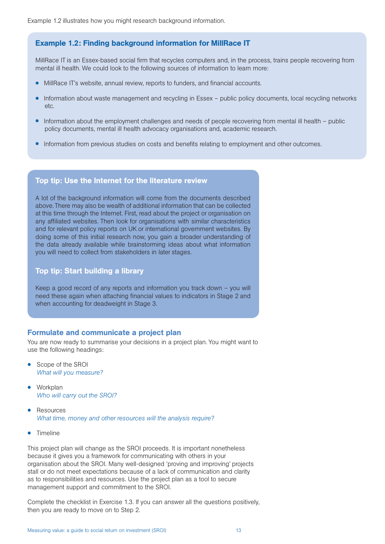## Example 1.2: Finding background information for MillRace IT

MillRace IT is an Essex-based social firm that recycles computers and, in the process, trains people recovering from mental ill health. We could look to the following sources of information to learn more:

- MillRace IT's website, annual review, reports to funders, and financial accounts.
- Information about waste management and recycling in Essex public policy documents, local recycling networks etc.
- Information about the employment challenges and needs of people recovering from mental ill health public policy documents, mental ill health advocacy organisations and, academic research.
- Information from previous studies on costs and benefits relating to employment and other outcomes.

#### Top tip: Use the Internet for the literature review

A lot of the background information will come from the documents described above. There may also be wealth of additional information that can be collected at this time through the Internet. First, read about the project or organisation on any affiliated websites. Then look for organisations with similar characteristics and for relevant policy reports on UK or international government websites. By doing some of this initial research now, you gain a broader understanding of the data already available while brainstorming ideas about what information you will need to collect from stakeholders in later stages.

#### Top tip: Start building a library

Keep a good record of any reports and information you track down – you will need these again when attaching financial values to indicators in Stage 2 and when accounting for deadweight in Stage 3.

#### Formulate and communicate a project plan

You are now ready to summarise your decisions in a project plan. You might want to use the following headings:

- Scope of the SROI *What will you measure?*
- **Workplan** *Who will carry out the SROI?*
- **Resources** *What time, money and other resources will the analysis require?*
- Timeline

This project plan will change as the SROI proceeds. It is important nonetheless because it gives you a framework for communicating with others in your organisation about the SROI. Many well-designed 'proving and improving' projects stall or do not meet expectations because of a lack of communication and clarity as to responsibilities and resources. Use the project plan as a tool to secure management support and commitment to the SROI.

Complete the checklist in Exercise 1.3. If you can answer all the questions positively, then you are ready to move on to Step 2.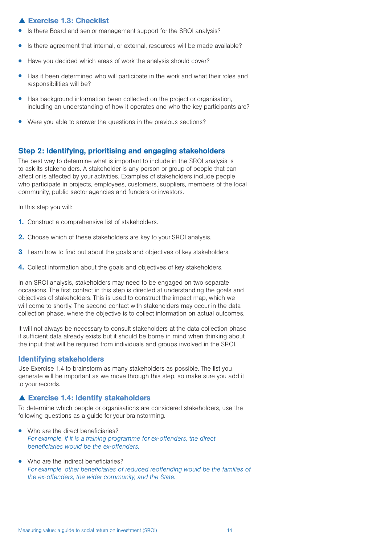## Exercise 1.3: Checklist

- Is there Board and senior management support for the SROI analysis?
- Is there agreement that internal, or external, resources will be made available?
- Have you decided which areas of work the analysis should cover?
- Has it been determined who will participate in the work and what their roles and responsibilities will be?
- Has background information been collected on the project or organisation, including an understanding of how it operates and who the key participants are?
- Were you able to answer the questions in the previous sections?

#### Step 2: Identifying, prioritising and engaging stakeholders

The best way to determine what is important to include in the SROI analysis is to ask its stakeholders. A stakeholder is any person or group of people that can affect or is affected by your activities. Examples of stakeholders include people who participate in projects, employees, customers, suppliers, members of the local community, public sector agencies and funders or investors.

In this step you will:

- 1. Construct a comprehensive list of stakeholders.
- 2. Choose which of these stakeholders are key to your SROI analysis.
- **3.** Learn how to find out about the goals and objectives of key stakeholders.
- 4. Collect information about the goals and objectives of key stakeholders.

In an SROI analysis, stakeholders may need to be engaged on two separate occasions. The first contact in this step is directed at understanding the goals and objectives of stakeholders. This is used to construct the impact map, which we will come to shortly. The second contact with stakeholders may occur in the data collection phase, where the objective is to collect information on actual outcomes.

It will not always be necessary to consult stakeholders at the data collection phase if sufficient data already exists but it should be borne in mind when thinking about the input that will be required from individuals and groups involved in the SROI.

#### Identifying stakeholders

Use Exercise 1.4 to brainstorm as many stakeholders as possible. The list you generate will be important as we move through this step, so make sure you add it to your records.

#### ▲ Exercise 1.4: Identify stakeholders

To determine which people or organisations are considered stakeholders, use the following questions as a guide for your brainstorming.

- Who are the direct beneficiaries? *For example, if it is a training programme for ex-offenders, the direct beneficiaries would be the ex-offenders.*
- Who are the indirect beneficiaries? *For example, other beneficiaries of reduced reoffending would be the families of the ex-offenders, the wider community, and the State.*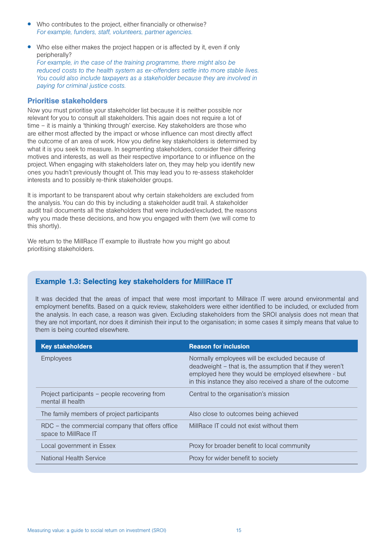- Who contributes to the project, either financially or otherwise? *For example, funders, staff, volunteers, partner agencies.*
- Who else either makes the project happen or is affected by it, even if only peripherally?

*For example, in the case of the training programme, there might also be reduced costs to the health system as ex-offenders settle into more stable lives. You could also include taxpayers as a stakeholder because they are involved in paying for criminal justice costs.* 

#### Prioritise stakeholders

Now you must prioritise your stakeholder list because it is neither possible nor relevant for you to consult all stakeholders. This again does not require a lot of time – it is mainly a 'thinking through' exercise. Key stakeholders are those who are either most affected by the impact or whose influence can most directly affect the outcome of an area of work. How you define key stakeholders is determined by what it is you seek to measure. In segmenting stakeholders, consider their differing motives and interests, as well as their respective importance to or influence on the project. When engaging with stakeholders later on, they may help you identify new ones you hadn't previously thought of. This may lead you to re-assess stakeholder interests and to possibly re-think stakeholder groups.

It is important to be transparent about why certain stakeholders are excluded from the analysis. You can do this by including a stakeholder audit trail. A stakeholder audit trail documents all the stakeholders that were included/excluded, the reasons why you made these decisions, and how you engaged with them (we will come to this shortly).

We return to the MillRace IT example to illustrate how you might go about prioritising stakeholders.

## Example 1.3: Selecting key stakeholders for MillRace IT

It was decided that the areas of impact that were most important to Millrace IT were around environmental and employment benefits. Based on a quick review, stakeholders were either identified to be included, or excluded from the analysis. In each case, a reason was given. Excluding stakeholders from the SROI analysis does not mean that they are not important, nor does it diminish their input to the organisation; in some cases it simply means that value to them is being counted elsewhere.

| <b>Key stakeholders</b>                                                 | <b>Reason for inclusion</b>                                                                                                                                                                                                       |
|-------------------------------------------------------------------------|-----------------------------------------------------------------------------------------------------------------------------------------------------------------------------------------------------------------------------------|
| <b>Employees</b>                                                        | Normally employees will be excluded because of<br>deadweight – that is, the assumption that if they weren't<br>employed here they would be employed elsewhere - but<br>in this instance they also received a share of the outcome |
| Project participants – people recovering from<br>mental ill health      | Central to the organisation's mission                                                                                                                                                                                             |
| The family members of project participants                              | Also close to outcomes being achieved                                                                                                                                                                                             |
| RDC – the commercial company that offers office<br>space to MillRace IT | MillRace IT could not exist without them                                                                                                                                                                                          |
| Local government in Essex                                               | Proxy for broader benefit to local community                                                                                                                                                                                      |
| National Health Service                                                 | Proxy for wider benefit to society                                                                                                                                                                                                |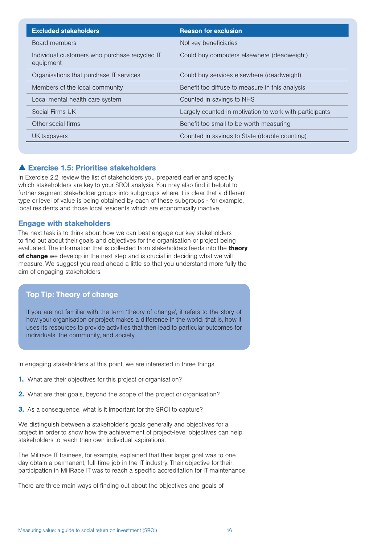| <b>Excluded stakeholders</b>                               | <b>Reason for exclusion</b>                             |
|------------------------------------------------------------|---------------------------------------------------------|
| Board members                                              | Not key beneficiaries                                   |
| Individual customers who purchase recycled IT<br>equipment | Could buy computers elsewhere (deadweight)              |
| Organisations that purchase IT services                    | Could buy services elsewhere (deadweight)               |
| Members of the local community                             | Benefit too diffuse to measure in this analysis         |
| Local mental health care system                            | Counted in savings to NHS                               |
| Social Firms UK                                            | Largely counted in motivation to work with participants |
| Other social firms                                         | Benefit too small to be worth measuring                 |
| UK taxpayers                                               | Counted in savings to State (double counting)           |

## Exercise 1.5: Prioritise stakeholders

In Exercise 2.2, review the list of stakeholders you prepared earlier and specify which stakeholders are key to your SROI analysis. You may also find it helpful to further segment stakeholder groups into subgroups where it is clear that a different type or level of value is being obtained by each of these subgroups - for example, local residents and those local residents which are economically inactive.

#### Engage with stakeholders

The next task is to think about how we can best engage our key stakeholders to find out about their goals and objectives for the organisation or project being evaluated. The information that is collected from stakeholders feeds into the **theory** of change we develop in the next step and is crucial in deciding what we will measure. We suggest you read ahead a little so that you understand more fully the aim of engaging stakeholders.

## Top Tip: Theory of change

If you are not familiar with the term 'theory of change', it refers to the story of how your organisation or project makes a difference in the world: that is, how it uses its resources to provide activities that then lead to particular outcomes for individuals, the community, and society.

In engaging stakeholders at this point, we are interested in three things.

- **1.** What are their objectives for this project or organisation?
- 2. What are their goals, beyond the scope of the project or organisation?
- **3.** As a consequence, what is it important for the SROI to capture?

We distinguish between a stakeholder's goals generally and objectives for a project in order to show how the achievement of project-level objectives can help stakeholders to reach their own individual aspirations.

The Millrace IT trainees, for example, explained that their larger goal was to one day obtain a permanent, full-time job in the IT industry. Their objective for their participation in MillRace IT was to reach a specific accreditation for IT maintenance.

There are three main ways of finding out about the objectives and goals of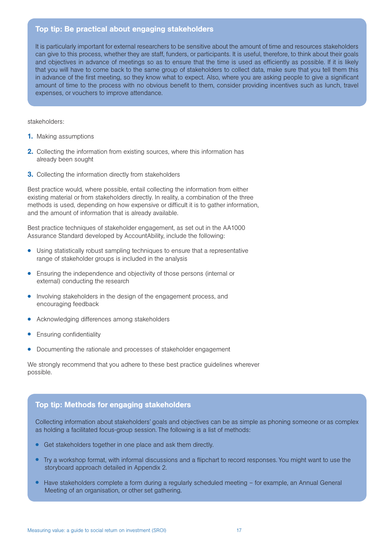#### Top tip: Be practical about engaging stakeholders

It is particularly important for external researchers to be sensitive about the amount of time and resources stakeholders can give to this process, whether they are staff, funders, or participants. It is useful, therefore, to think about their goals and objectives in advance of meetings so as to ensure that the time is used as efficiently as possible. If it is likely that you will have to come back to the same group of stakeholders to collect data, make sure that you tell them this in advance of the first meeting, so they know what to expect. Also, where you are asking people to give a significant amount of time to the process with no obvious benefit to them, consider providing incentives such as lunch, travel expenses, or vouchers to improve attendance.

stakeholders:

- **1.** Making assumptions
- **2.** Collecting the information from existing sources, where this information has already been sought
- **3.** Collecting the information directly from stakeholders

Best practice would, where possible, entail collecting the information from either existing material or from stakeholders directly. In reality, a combination of the three methods is used, depending on how expensive or difficult it is to gather information, and the amount of information that is already available.

Best practice techniques of stakeholder engagement, as set out in the AA1000 Assurance Standard developed by AccountAbility, include the following:

- Using statistically robust sampling techniques to ensure that a representative range of stakeholder groups is included in the analysis
- Ensuring the independence and objectivity of those persons (internal or external) conducting the research
- Involving stakeholders in the design of the engagement process, and encouraging feedback
- Acknowledging differences among stakeholders
- Ensuring confidentiality
- Documenting the rationale and processes of stakeholder engagement

We strongly recommend that you adhere to these best practice guidelines wherever possible.

## Top tip: Methods for engaging stakeholders

Collecting information about stakeholders' goals and objectives can be as simple as phoning someone or as complex as holding a facilitated focus-group session. The following is a list of methods:

- Get stakeholders together in one place and ask them directly.
- Try a workshop format, with informal discussions and a flipchart to record responses. You might want to use the storyboard approach detailed in Appendix 2.
- Have stakeholders complete a form during a regularly scheduled meeting for example, an Annual General Meeting of an organisation, or other set gathering.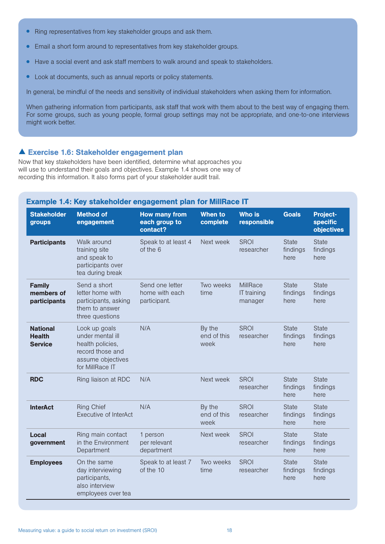- Ring representatives from key stakeholder groups and ask them.
- Email a short form around to representatives from key stakeholder groups.
- Have a social event and ask staff members to walk around and speak to stakeholders.
- Look at documents, such as annual reports or policy statements.

In general, be mindful of the needs and sensitivity of individual stakeholders when asking them for information.

When gathering information from participants, ask staff that work with them about to the best way of engaging them. For some groups, such as young people, formal group settings may not be appropriate, and one-to-one interviews might work better.

## Exercise 1.6: Stakeholder engagement plan

Now that key stakeholders have been identified, determine what approaches you will use to understand their goals and objectives. Example 1.4 shows one way of recording this information. It also forms part of your stakeholder audit trail.

#### Example 1.4: Key stakeholder engagement plan for MillRace IT

| <b>Stakeholder</b><br>groups                       | <b>Method of</b><br>engagement                                                                                    | <b>How many from</b><br>each group to<br>contact? | When to<br>complete           | <b>Who is</b><br>responsible              | <b>Goals</b>                     | <b>Project-</b><br><b>specific</b><br><b>objectives</b> |
|----------------------------------------------------|-------------------------------------------------------------------------------------------------------------------|---------------------------------------------------|-------------------------------|-------------------------------------------|----------------------------------|---------------------------------------------------------|
| <b>Participants</b>                                | Walk around<br>training site<br>and speak to<br>participants over<br>tea during break                             | Speak to at least 4<br>of the 6                   | Next week                     | <b>SROI</b><br>researcher                 | <b>State</b><br>findings<br>here | <b>State</b><br>findings<br>here                        |
| <b>Family</b><br>members of<br>participants        | Send a short<br>letter home with<br>participants, asking<br>them to answer<br>three questions                     | Send one letter<br>home with each<br>participant. | Two weeks<br>time             | <b>MillRace</b><br>IT training<br>manager | <b>State</b><br>findings<br>here | <b>State</b><br>findings<br>here                        |
| <b>National</b><br><b>Health</b><br><b>Service</b> | Look up goals<br>under mental ill<br>health policies,<br>record those and<br>assume objectives<br>for MillRace IT | N/A                                               | By the<br>end of this<br>week | <b>SROI</b><br>researcher                 | <b>State</b><br>findings<br>here | <b>State</b><br>findings<br>here                        |
| <b>RDC</b>                                         | Ring liaison at RDC                                                                                               | N/A                                               | Next week                     | <b>SROI</b><br>researcher                 | <b>State</b><br>findings<br>here | <b>State</b><br>findings<br>here                        |
| <b>InterAct</b>                                    | <b>Ring Chief</b><br>Executive of InterAct                                                                        | N/A                                               | By the<br>end of this<br>week | <b>SROI</b><br>researcher                 | <b>State</b><br>findings<br>here | <b>State</b><br>findings<br>here                        |
| Local<br>government                                | Ring main contact<br>in the Environment<br>Department                                                             | 1 person<br>per relevant<br>department            | Next week                     | <b>SROI</b><br>researcher                 | <b>State</b><br>findings<br>here | <b>State</b><br>findings<br>here                        |
| <b>Employees</b>                                   | On the same<br>day interviewing<br>participants,<br>also interview<br>employees over tea                          | Speak to at least 7<br>of the 10                  | Two weeks<br>time             | <b>SROI</b><br>researcher                 | <b>State</b><br>findings<br>here | <b>State</b><br>findings<br>here                        |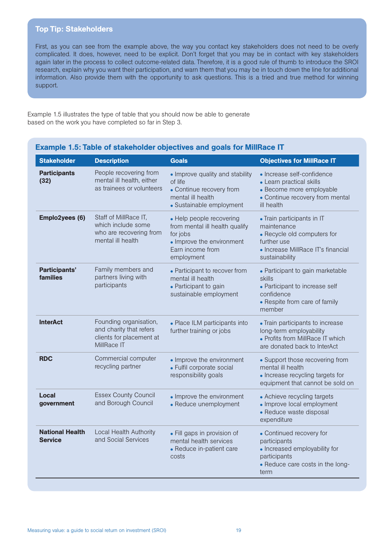#### Top Tip: Stakeholders

First, as you can see from the example above, the way you contact key stakeholders does not need to be overly complicated. It does, however, need to be explicit. Don't forget that you may be in contact with key stakeholders again later in the process to collect outcome-related data. Therefore, it is a good rule of thumb to introduce the SROI research, explain why you want their participation, and warn them that you may be in touch down the line for additional information. Also provide them with the opportunity to ask questions. This is a tried and true method for winning support.

Example 1.5 illustrates the type of table that you should now be able to generate based on the work you have completed so far in Step 3.

| <b>Stakeholder</b>                       | <b>Description</b>                                                                           | <b>Goals</b>                                                                                                                          | <b>Objectives for MillRace IT</b>                                                                                                               |
|------------------------------------------|----------------------------------------------------------------------------------------------|---------------------------------------------------------------------------------------------------------------------------------------|-------------------------------------------------------------------------------------------------------------------------------------------------|
| <b>Participants</b><br>(32)              | People recovering from<br>mental ill health, either<br>as trainees or volunteers             | • Improve quality and stability<br>of life<br>• Continue recovery from<br>mental ill health<br>• Sustainable employment               | • Increase self-confidence<br>• Learn practical skills<br>• Become more employable<br>• Continue recovery from mental<br>ill health             |
| Emplo2yees (6)                           | Staff of MillRace IT,<br>which include some<br>who are recovering from<br>mental ill health  | • Help people recovering<br>from mental ill health qualify<br>for jobs<br>• Improve the environment<br>Earn income from<br>employment | • Train participants in IT<br>maintenance<br>• Recycle old computers for<br>further use<br>• Increase MillRace IT's financial<br>sustainability |
| <b>Participants'</b><br>families         | Family members and<br>partners living with<br>participants                                   | • Participant to recover from<br>mental ill health<br>• Participant to gain<br>sustainable employment                                 | • Participant to gain marketable<br>skills<br>• Participant to increase self<br>confidence<br>• Respite from care of family<br>member           |
| <b>InterAct</b>                          | Founding organisation,<br>and charity that refers<br>clients for placement at<br>MillRace IT | • Place ILM participants into<br>further training or jobs                                                                             | • Train participants to increase<br>long-term employability<br>• Profits from MillRace IT which<br>are donated back to InterAct                 |
| <b>RDC</b>                               | Commercial computer<br>recycling partner                                                     | • Improve the environment<br>• Fulfil corporate social<br>responsibility goals                                                        | • Support those recovering from<br>mental ill health<br>• Increase recycling targets for<br>equipment that cannot be sold on                    |
| Local<br>government                      | <b>Essex County Council</b><br>and Borough Council                                           | • Improve the environment<br>• Reduce unemployment                                                                                    | • Achieve recycling targets<br>• Improve local employment<br>• Reduce waste disposal<br>expenditure                                             |
| <b>National Health</b><br><b>Service</b> | Local Health Authority<br>and Social Services                                                | • Fill gaps in provision of<br>mental health services<br>• Reduce in-patient care<br>costs                                            | • Continued recovery for<br>participants<br>• Increased employability for<br>participants<br>• Reduce care costs in the long-<br>term           |

## Example 1.5: Table of stakeholder objectives and goals for MillRace IT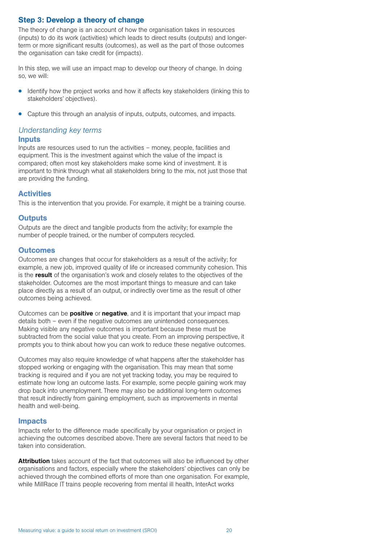## Step 3: Develop a theory of change

The theory of change is an account of how the organisation takes in resources (inputs) to do its work (activities) which leads to direct results (outputs) and longerterm or more significant results (outcomes), as well as the part of those outcomes the organisation can take credit for (impacts).

In this step, we will use an impact map to develop our theory of change. In doing so, we will:

- Identify how the project works and how it affects key stakeholders (linking this to stakeholders' objectives).
- Capture this through an analysis of inputs, outputs, outcomes, and impacts.

#### *Understanding key terms*

#### **Inputs**

Inputs are resources used to run the activities – money, people, facilities and equipment. This is the investment against which the value of the impact is compared; often most key stakeholders make some kind of investment. It is important to think through what all stakeholders bring to the mix, not just those that are providing the funding.

#### **Activities**

This is the intervention that you provide. For example, it might be a training course.

#### **Outputs**

Outputs are the direct and tangible products from the activity; for example the number of people trained, or the number of computers recycled.

#### **Outcomes**

Outcomes are changes that occur for stakeholders as a result of the activity; for example, a new job, improved quality of life or increased community cohesion. This is the result of the organisation's work and closely relates to the objectives of the stakeholder. Outcomes are the most important things to measure and can take place directly as a result of an output, or indirectly over time as the result of other outcomes being achieved.

Outcomes can be **positive** or **negative**, and it is important that your impact map details both – even if the negative outcomes are unintended consequences. Making visible any negative outcomes is important because these must be subtracted from the social value that you create. From an improving perspective, it prompts you to think about how you can work to reduce these negative outcomes.

Outcomes may also require knowledge of what happens after the stakeholder has stopped working or engaging with the organisation. This may mean that some tracking is required and if you are not yet tracking today, you may be required to estimate how long an outcome lasts. For example, some people gaining work may drop back into unemployment. There may also be additional long-term outcomes that result indirectly from gaining employment, such as improvements in mental health and well-being.

#### Impacts

Impacts refer to the difference made specifically by your organisation or project in achieving the outcomes described above. There are several factors that need to be taken into consideration.

Attribution takes account of the fact that outcomes will also be influenced by other organisations and factors, especially where the stakeholders' objectives can only be achieved through the combined efforts of more than one organisation. For example, while MillRace IT trains people recovering from mental ill health, InterAct works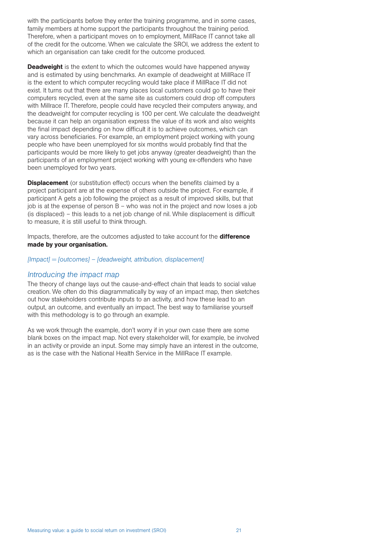with the participants before they enter the training programme, and in some cases, family members at home support the participants throughout the training period. Therefore, when a participant moves on to employment, MillRace IT cannot take all of the credit for the outcome. When we calculate the SROI, we address the extent to which an organisation can take credit for the outcome produced.

**Deadweight** is the extent to which the outcomes would have happened anyway and is estimated by using benchmarks. An example of deadweight at MillRace IT is the extent to which computer recycling would take place if MillRace IT did not exist. It turns out that there are many places local customers could go to have their computers recycled, even at the same site as customers could drop off computers with Millrace IT. Therefore, people could have recycled their computers anyway, and the deadweight for computer recycling is 100 per cent. We calculate the deadweight because it can help an organisation express the value of its work and also weights the final impact depending on how difficult it is to achieve outcomes, which can vary across beneficiaries. For example, an employment project working with young people who have been unemployed for six months would probably find that the participants would be more likely to get jobs anyway (greater deadweight) than the participants of an employment project working with young ex-offenders who have been unemployed for two years.

**Displacement** (or substitution effect) occurs when the benefits claimed by a project participant are at the expense of others outside the project. For example, if participant A gets a job following the project as a result of improved skills, but that job is at the expense of person B – who was not in the project and now loses a job (is displaced) – this leads to a net job change of nil. While displacement is difficult to measure, it is still useful to think through.

Impacts, therefore, are the outcomes adjusted to take account for the **difference** made by your organisation.

#### *[Impact] = [outcomes] – [deadweight, attribution, displacement]*

#### *Introducing the impact map*

The theory of change lays out the cause-and-effect chain that leads to social value creation. We often do this diagrammatically by way of an impact map, then sketches out how stakeholders contribute inputs to an activity, and how these lead to an output, an outcome, and eventually an impact. The best way to familiarise yourself with this methodology is to go through an example.

As we work through the example, don't worry if in your own case there are some blank boxes on the impact map. Not every stakeholder will, for example, be involved in an activity or provide an input. Some may simply have an interest in the outcome, as is the case with the National Health Service in the MillRace IT example.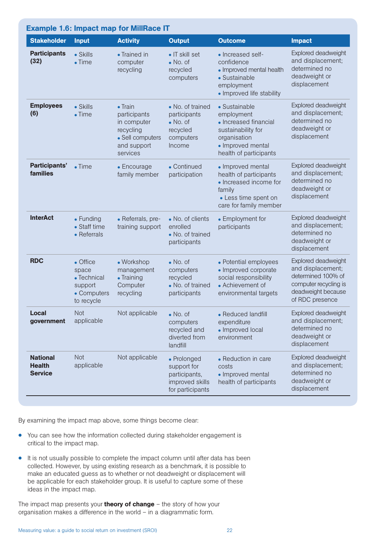| <b>Example 1.6: Impact map for MillRace IT</b>     |                                                                          |                                                                                                            |                                                                                         |                                                                                                                                           |                                                                                                                                  |
|----------------------------------------------------|--------------------------------------------------------------------------|------------------------------------------------------------------------------------------------------------|-----------------------------------------------------------------------------------------|-------------------------------------------------------------------------------------------------------------------------------------------|----------------------------------------------------------------------------------------------------------------------------------|
| <b>Stakeholder</b>                                 | <b>Input</b>                                                             | <b>Activity</b>                                                                                            | <b>Output</b>                                                                           | <b>Outcome</b>                                                                                                                            | <b>Impact</b>                                                                                                                    |
| <b>Participants</b><br>(32)                        | • Skills<br>$\bullet$ Time                                               | • Trained in<br>computer<br>recycling                                                                      | • IT skill set<br>$\bullet$ No. of<br>recycled<br>computers                             | • Increased self-<br>confidence<br>• Improved mental health<br>• Sustainable<br>employment<br>• Improved life stability                   | Explored deadweight<br>and displacement;<br>determined no<br>deadweight or<br>displacement                                       |
| <b>Employees</b><br>(6)                            | $\bullet$ Skills<br>$\bullet$ Time                                       | $\bullet$ Train<br>participants<br>in computer<br>recycling<br>• Sell computers<br>and support<br>services | • No. of trained<br>participants<br>$\bullet$ No. of<br>recycled<br>computers<br>Income | • Sustainable<br>employment<br>• Increased financial<br>sustainability for<br>organisation<br>• Improved mental<br>health of participants | Explored deadweight<br>and displacement;<br>determined no<br>deadweight or<br>displacement                                       |
| Participants'<br>families                          | $\bullet$ Time                                                           | • Encourage<br>family member                                                                               | • Continued<br>participation                                                            | • Improved mental<br>health of participants<br>• Increased income for<br>family<br>• Less time spent on<br>care for family member         | Explored deadweight<br>and displacement;<br>determined no<br>deadweight or<br>displacement                                       |
| <b>InterAct</b>                                    | $\bullet$ Funding<br>• Staff time<br>• Referrals                         | • Referrals, pre-<br>training support                                                                      | • No. of clients<br>enrolled<br>• No. of trained<br>participants                        | • Employment for<br>participants                                                                                                          | Explored deadweight<br>and displacement;<br>determined no<br>deadweight or<br>displacement                                       |
| <b>RDC</b>                                         | • Office<br>space<br>• Technical<br>support<br>• Computers<br>to recycle | • Workshop<br>management<br>• Training<br>Computer<br>recycling                                            | $\bullet$ No. of<br>computers<br>recycled<br>• No. of trained<br>participants           | • Potential employees<br>• Improved corporate<br>social responsibility<br>• Achievement of<br>environmental targets                       | Explored deadweight<br>and displacement;<br>determined 100% of<br>computer recycling is<br>deadweight because<br>of RDC presence |
| <b>Local</b><br>government                         | Not<br>applicable                                                        | Not applicable                                                                                             | $\bullet$ No. of<br>computers<br>recycled and<br>diverted from<br>landfill              | • Reduced landfill<br>expenditure<br>• Improved local<br>environment                                                                      | Explored deadweight<br>and displacement;<br>determined no<br>deadweight or<br>displacement                                       |
| <b>National</b><br><b>Health</b><br><b>Service</b> | <b>Not</b><br>applicable                                                 | Not applicable                                                                                             | • Prolonged<br>support for<br>participants,<br>improved skills<br>for participants      | • Reduction in care<br>costs<br>• Improved mental<br>health of participants                                                               | Explored deadweight<br>and displacement;<br>determined no<br>deadweight or<br>displacement                                       |

By examining the impact map above, some things become clear:

- You can see how the information collected during stakeholder engagement is critical to the impact map.
- It is not usually possible to complete the impact column until after data has been collected. However, by using existing research as a benchmark, it is possible to make an educated guess as to whether or not deadweight or displacement will be applicable for each stakeholder group. It is useful to capture some of these ideas in the impact map.

The impact map presents your **theory of change** – the story of how your organisation makes a difference in the world – in a diagrammatic form.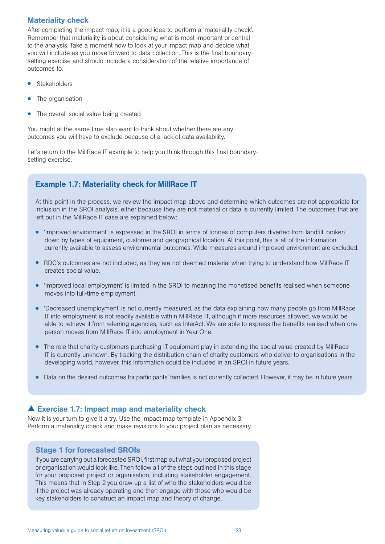#### Materiality check

After completing the impact map, it is a good idea to perform a 'materiality check'. Remember that materiality is about considering what is most important or central to the analysis. Take a moment now to look at your impact map and decide what you will include as you move forward to data collection. This is the final boundarysetting exercise and should include a consideration of the relative importance of outcomes to:

- **Stakeholders**
- The organisation
- The overall social value being created

You might at the same time also want to think about whether there are any outcomes you will have to exclude because of a lack of data availability.

Let's return to the MillRace IT example to help you think through this final boundarysetting exercise.

## Example 1.7: Materiality check for MillRace IT

At this point in the process, we review the impact map above and determine which outcomes are not appropriate for inclusion in the SROI analysis, either because they are not material or data is currently limited. The outcomes that are left out in the MillRace IT case are explained below:

- 'Improved environment' is expressed in the SROI in terms of tonnes of computers diverted from landfill, broken down by types of equipment, customer and geographical location. At this point, this is all of the information currently available to assess environmental outcomes. Wide measures around improved environment are excluded.
- RDC's outcomes are not included, as they are not deemed material when trying to understand how MillRace IT creates social value.
- 'Improved local employment' is limited in the SROI to meaning the monetised benefits realised when someone moves into full-time employment.
- 'Decreased unemployment' is not currently measured, as the data explaining how many people go from MillRace IT into employment is not readily available within MillRace IT, although if more resources allowed, we would be able to retrieve it from referring agencies, such as InterAct. We are able to express the benefits realised when one person moves from MillRace IT into employment in Year One.
- The role that charity customers purchasing IT equipment play in extending the social value created by MillRace IT is currently unknown. By tracking the distribution chain of charity customers who deliver to organisations in the developing world, however, this information could be included in an SROI in future years.
- Data on the desired outcomes for participants' families is not currently collected. However, it may be in future years.

#### ▲ Exercise 1.7: Impact map and materiality check

Now it is your turn to give it a try. Use the impact map template in Appendix 3. Perform a materiality check and make revisions to your project plan as necessary.

#### Stage 1 for forecasted SROIs

If you are carrying out a forecasted SROI, first map out what your proposed project or organisation would look like. Then follow all of the steps outlined in this stage for your proposed project or organisation, including stakeholder engagement. This means that in Step 2 you draw up a list of who the stakeholders would be if the project was already operating and then engage with those who would be key stakeholders to construct an impact map and theory of change.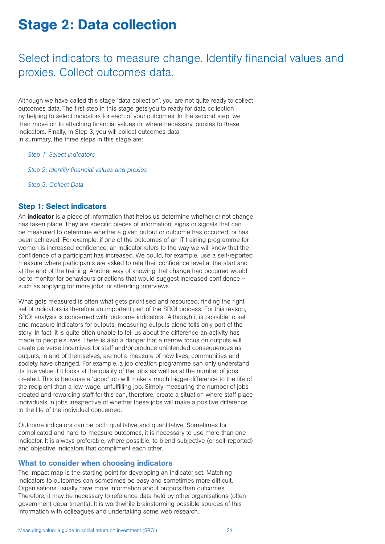## Stage 2: Data collection

## Select indicators to measure change. Identify financial values and proxies. Collect outcomes data.

Although we have called this stage 'data collection', you are not quite ready to collect outcomes data. The first step in this stage gets you to ready for data collection by helping to select indicators for each of your outcomes. In the second step, we then move on to attaching financial values or, where necessary, proxies to these indicators. Finally, in Step 3, you will collect outcomes data. In summary, the three steps in this stage are:

#### *Step 1: Select indicators*

*Step 2: Identify financial values and proxies*

*Step 3: Collect Data* 

#### Step 1: Select indicators

An **indicator** is a piece of information that helps us determine whether or not change has taken place. They are specific pieces of information, signs or signals that can be measured to determine whether a given output or outcome has occurred, or has been achieved. For example, if one of the outcomes of an IT training programme for women is increased confidence, an indicator refers to the way we will know that the confidence of a participant has increased. We could, for example, use a self-reported measure where participants are asked to rate their confidence level at the start and at the end of the training. Another way of knowing that change had occurred would be to monitor for behaviours or actions that would suggest increased confidence such as applying for more jobs, or attending interviews.

What gets measured is often what gets prioritised and resourced; finding the right set of indicators is therefore an important part of the SROI process. For this reason, SROI analysis is concerned with 'outcome indicators'. Although it is possible to set and measure indicators for outputs, measuring outputs alone tells only part of the story. In fact, it is quite often unable to tell us about the difference an activity has made to people's lives. There is also a danger that a narrow focus on outputs will create perverse incentives for staff and/or produce unintended consequences as outputs, in and of themselves, are not a measure of how lives, communities and society have changed. For example, a job creation programme can only understand its true value if it looks at the quality of the jobs as well as at the number of jobs created. This is because a 'good' job will make a much bigger difference to the life of the recipient than a low-wage, unfulfilling job. Simply measuring the number of jobs created and rewarding staff for this can, therefore, create a situation where staff place individuals in jobs irrespective of whether these jobs will make a positive difference to the life of the individual concerned.

Outcome indicators can be both qualitative and quantitative. Sometimes for complicated and hard-to-measure outcomes, it is necessary to use more than one indicator. It is always preferable, where possible, to blend subjective (or self-reported) and objective indicators that compliment each other.

#### What to consider when choosing indicators

The impact map is the starting point for developing an indicator set. Matching indicators to outcomes can sometimes be easy and sometimes more difficult. Organisations usually have more information about outputs than outcomes. Therefore, it may be necessary to reference data held by other organisations (often government departments). It is worthwhile brainstorming possible sources of this information with colleagues and undertaking some web research.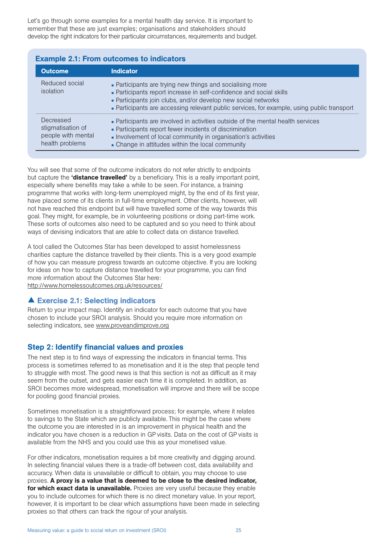Let's go through some examples for a mental health day service. It is important to remember that these are just examples; organisations and stakeholders should develop the right indicators for their particular circumstances, requirements and budget.

| <b>Example 2.1: From outcomes to indicators</b>                                                                                                                                                                                                                                                                                |                                                                                                                                                                                                                                                                 |  |
|--------------------------------------------------------------------------------------------------------------------------------------------------------------------------------------------------------------------------------------------------------------------------------------------------------------------------------|-----------------------------------------------------------------------------------------------------------------------------------------------------------------------------------------------------------------------------------------------------------------|--|
| <b>Outcome</b><br><b>Indicator</b>                                                                                                                                                                                                                                                                                             |                                                                                                                                                                                                                                                                 |  |
| Reduced social<br>• Participants are trying new things and socialising more<br>isolation<br>• Participants report increase in self-confidence and social skills<br>• Participants join clubs, and/or develop new social networks<br>• Participants are accessing relevant public services, for example, using public transport |                                                                                                                                                                                                                                                                 |  |
| Decreased<br>stigmatisation of<br>people with mental<br>health problems                                                                                                                                                                                                                                                        | • Participants are involved in activities outside of the mental health services<br>• Participants report fewer incidents of discrimination<br>• Involvement of local community in organisation's activities<br>• Change in attitudes within the local community |  |

You will see that some of the outcome indicators do not refer strictly to endpoints but capture the 'distance travelled' by a beneficiary. This is a really important point, especially where benefits may take a while to be seen. For instance, a training programme that works with long-term unemployed might, by the end of its first year, have placed some of its clients in full-time employment. Other clients, however, will not have reached this endpoint but will have travelled some of the way towards this goal. They might, for example, be in volunteering positions or doing part-time work. These sorts of outcomes also need to be captured and so you need to think about ways of devising indicators that are able to collect data on distance travelled.

A tool called the Outcomes Star has been developed to assist homelessness charities capture the distance travelled by their clients. This is a very good example of how you can measure progress towards an outcome objective. If you are looking for ideas on how to capture distance travelled for your programme, you can find more information about the Outcomes Star here: http://www.homelessoutcomes.org.uk/resources/

## Exercise 2.1: Selecting indicators

Return to your impact map. Identify an indicator for each outcome that you have chosen to include your SROI analysis. Should you require more information on selecting indicators, see www.proveandimprove.org

## Step 2: Identify financial values and proxies

The next step is to find ways of expressing the indicators in financial terms. This process is sometimes referred to as monetisation and it is the step that people tend to struggle with most. The good news is that this section is not as difficult as it may seem from the outset, and gets easier each time it is completed. In addition, as SROI becomes more widespread, monetisation will improve and there will be scope for pooling good financial proxies.

Sometimes monetisation is a straightforward process; for example, where it relates to savings to the State which are publicly available. This might be the case where the outcome you are interested in is an improvement in physical health and the indicator you have chosen is a reduction in GP visits. Data on the cost of GP visits is available from the NHS and you could use this as your monetised value.

For other indicators, monetisation requires a bit more creativity and digging around. In selecting financial values there is a trade-off between cost, data availability and accuracy. When data is unavailable or difficult to obtain, you may choose to use proxies. A proxy is a value that is deemed to be close to the desired indicator, for which exact data is unavailable. Proxies are very useful because they enable you to include outcomes for which there is no direct monetary value. In your report, however, it is important to be clear which assumptions have been made in selecting proxies so that others can track the rigour of your analysis.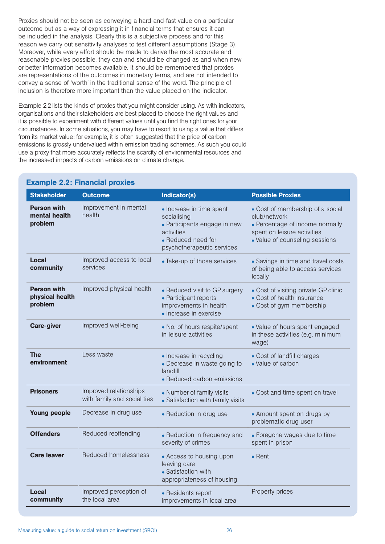Proxies should not be seen as conveying a hard-and-fast value on a particular outcome but as a way of expressing it in financial terms that ensures it can be included in the analysis. Clearly this is a subjective process and for this reason we carry out sensitivity analyses to test different assumptions (Stage 3). Moreover, while every effort should be made to derive the most accurate and reasonable proxies possible, they can and should be changed as and when new or better information becomes available. It should be remembered that proxies are representations of the outcomes in monetary terms, and are not intended to convey a sense of 'worth' in the traditional sense of the word. The principle of inclusion is therefore more important than the value placed on the indicator.

Example 2.2 lists the kinds of proxies that you might consider using. As with indicators, organisations and their stakeholders are best placed to choose the right values and it is possible to experiment with different values until you find the right ones for your circumstances. In some situations, you may have to resort to using a value that differs from its market value: for example, it is often suggested that the price of carbon emissions is grossly undervalued within emission trading schemes. As such you could use a proxy that more accurately reflects the scarcity of environmental resources and the increased impacts of carbon emissions on climate change.

| <b>Stakeholder</b>                               | <b>Outcome</b>                                        | Indicator(s)                                                                                                                              | <b>Possible Proxies</b>                                                                                                                              |
|--------------------------------------------------|-------------------------------------------------------|-------------------------------------------------------------------------------------------------------------------------------------------|------------------------------------------------------------------------------------------------------------------------------------------------------|
| <b>Person with</b><br>mental health<br>problem   | Improvement in mental<br>health                       | • Increase in time spent<br>socialising<br>• Participants engage in new<br>activities<br>• Reduced need for<br>psychotherapeutic services | • Cost of membership of a social<br>club/network<br>• Percentage of income normally<br>spent on leisure activities<br>• Value of counseling sessions |
| Local<br>community                               | Improved access to local<br>services                  | • Take-up of those services                                                                                                               | • Savings in time and travel costs<br>of being able to access services<br>locally                                                                    |
| <b>Person with</b><br>physical health<br>problem | Improved physical health                              | • Reduced visit to GP surgery<br>• Participant reports<br>improvements in health<br>• Increase in exercise                                | • Cost of visiting private GP clinic<br>• Cost of health insurance<br>• Cost of gym membership                                                       |
| <b>Care-giver</b>                                | Improved well-being                                   | • No. of hours respite/spent<br>in leisure activities                                                                                     | • Value of hours spent engaged<br>in these activities (e.g. minimum<br>wage)                                                                         |
| <b>The</b><br>environment                        | Less waste                                            | • Increase in recycling<br>• Decrease in waste going to<br>landfill<br>• Reduced carbon emissions                                         | • Cost of landfill charges<br>• Value of carbon                                                                                                      |
| <b>Prisoners</b>                                 | Improved relationships<br>with family and social ties | • Number of family visits<br>• Satisfaction with family visits                                                                            | • Cost and time spent on travel                                                                                                                      |
| <b>Young people</b>                              | Decrease in drug use                                  | • Reduction in drug use                                                                                                                   | • Amount spent on drugs by<br>problematic drug user                                                                                                  |
| <b>Offenders</b>                                 | Reduced reoffending                                   | • Reduction in frequency and<br>severity of crimes                                                                                        | • Foregone wages due to time<br>spent in prison                                                                                                      |
| <b>Care leaver</b>                               | <b>Reduced homelessness</b>                           | • Access to housing upon<br>leaving care<br>• Satisfaction with<br>appropriateness of housing                                             | $\bullet$ Rent                                                                                                                                       |
| Local<br>community                               | Improved perception of<br>the local area              | • Residents report<br>improvements in local area                                                                                          | Property prices                                                                                                                                      |

## Example 2.2: Financial proxies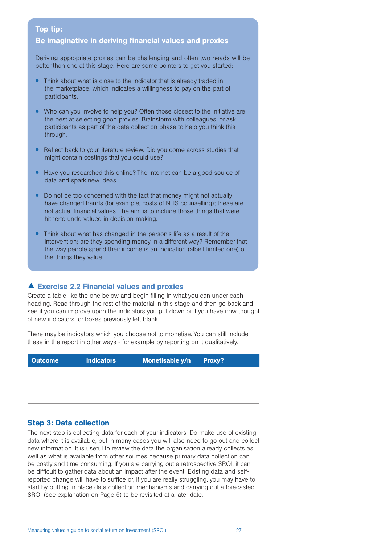#### Top tip:

#### Be imaginative in deriving financial values and proxies

Deriving appropriate proxies can be challenging and often two heads will be better than one at this stage. Here are some pointers to get you started:

- Think about what is close to the indicator that is already traded in the marketplace, which indicates a willingness to pay on the part of participants.
- Who can you involve to help you? Often those closest to the initiative are the best at selecting good proxies. Brainstorm with colleagues, or ask participants as part of the data collection phase to help you think this through.
- Reflect back to your literature review. Did you come across studies that might contain costings that you could use?
- Have you researched this online? The Internet can be a good source of data and spark new ideas.
- Do not be too concerned with the fact that money might not actually have changed hands (for example, costs of NHS counselling); these are not actual financial values. The aim is to include those things that were hitherto undervalued in decision-making.
- Think about what has changed in the person's life as a result of the intervention; are they spending money in a different way? Remember that the way people spend their income is an indication (albeit limited one) of the things they value.

#### Exercise 2.2 Financial values and proxies

Create a table like the one below and begin filling in what you can under each heading. Read through the rest of the material in this stage and then go back and see if you can improve upon the indicators you put down or if you have now thought of new indicators for boxes previously left blank.

There may be indicators which you choose not to monetise. You can still include these in the report in other ways - for example by reporting on it qualitatively.

Outcome Indicators Monetisable y/n Proxy?

#### Step 3: Data collection

The next step is collecting data for each of your indicators. Do make use of existing data where it is available, but in many cases you will also need to go out and collect new information. It is useful to review the data the organisation already collects as well as what is available from other sources because primary data collection can be costly and time consuming. If you are carrying out a retrospective SROI, it can be difficult to gather data about an impact after the event. Existing data and selfreported change will have to suffice or, if you are really struggling, you may have to start by putting in place data collection mechanisms and carrying out a forecasted SROI (see explanation on Page 5) to be revisited at a later date.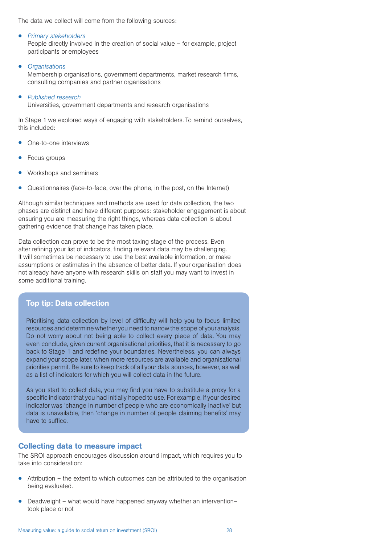The data we collect will come from the following sources:

• *Primary stakeholders* 

People directly involved in the creation of social value – for example, project participants or employees

• *Organisations* 

Membership organisations, government departments, market research firms, consulting companies and partner organisations

• *Published research*  Universities, government departments and research organisations

In Stage 1 we explored ways of engaging with stakeholders. To remind ourselves, this included:

- One-to-one interviews
- Focus groups
- Workshops and seminars
- Questionnaires (face-to-face, over the phone, in the post, on the Internet)

Although similar techniques and methods are used for data collection, the two phases are distinct and have different purposes: stakeholder engagement is about ensuring you are measuring the right things, whereas data collection is about gathering evidence that change has taken place.

Data collection can prove to be the most taxing stage of the process. Even after refining your list of indicators, finding relevant data may be challenging. It will sometimes be necessary to use the best available information, or make assumptions or estimates in the absence of better data. If your organisation does not already have anyone with research skills on staff you may want to invest in some additional training.

## Top tip: Data collection

Prioritising data collection by level of difficulty will help you to focus limited resources and determine whether you need to narrow the scope of your analysis. Do not worry about not being able to collect every piece of data. You may even conclude, given current organisational priorities, that it is necessary to go back to Stage 1 and redefine your boundaries. Nevertheless, you can always expand your scope later, when more resources are available and organisational priorities permit. Be sure to keep track of all your data sources, however, as well as a list of indicators for which you will collect data in the future.

As you start to collect data, you may find you have to substitute a proxy for a specific indicator that you had initially hoped to use. For example, if your desired indicator was 'change in number of people who are economically inactive' but data is unavailable, then 'change in number of people claiming benefits' may have to suffice.

#### Collecting data to measure impact

The SROI approach encourages discussion around impact, which requires you to take into consideration:

- Attribution the extent to which outcomes can be attributed to the organisation being evaluated.
- Deadweight what would have happened anyway whether an intervention– took place or not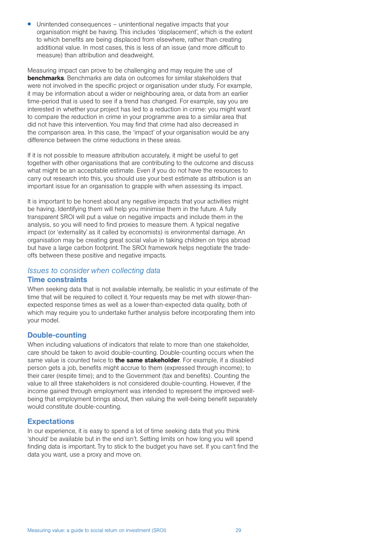• Unintended consequences – unintentional negative impacts that your organisation might be having. This includes 'displacement', which is the extent to which benefits are being displaced from elsewhere, rather than creating additional value. In most cases, this is less of an issue (and more difficult to measure) than attribution and deadweight.

Measuring impact can prove to be challenging and may require the use of **benchmarks**. Benchmarks are data on outcomes for similar stakeholders that were not involved in the specific project or organisation under study. For example, it may be information about a wider or neighbouring area, or data from an earlier time-period that is used to see if a trend has changed. For example, say you are interested in whether your project has led to a reduction in crime: you might want to compare the reduction in crime in your programme area to a similar area that did not have this intervention. You may find that crime had also decreased in the comparison area. In this case, the 'impact' of your organisation would be any difference between the crime reductions in these areas.

If it is not possible to measure attribution accurately, it might be useful to get together with other organisations that are contributing to the outcome and discuss what might be an acceptable estimate. Even if you do not have the resources to carry out research into this, you should use your best estimate as attribution is an important issue for an organisation to grapple with when assessing its impact.

It is important to be honest about any negative impacts that your activities might be having. Identifying them will help you minimise them in the future. A fully transparent SROI will put a value on negative impacts and include them in the analysis, so you will need to find proxies to measure them. A typical negative impact (or 'externality' as it called by economists) is environmental damage. An organisation may be creating great social value in taking children on trips abroad but have a large carbon footprint. The SROI framework helps negotiate the tradeoffs between these positive and negative impacts.

## *Issues to consider when collecting data*

## Time constraints

When seeking data that is not available internally, be realistic in your estimate of the time that will be required to collect it. Your requests may be met with slower-thanexpected response times as well as a lower-than-expected data quality, both of which may require you to undertake further analysis before incorporating them into your model.

## Double-counting

When including valuations of indicators that relate to more than one stakeholder, care should be taken to avoid double-counting. Double-counting occurs when the same value is counted twice to **the same stakeholder**. For example, if a disabled person gets a job, benefits might accrue to them (expressed through income); to their carer (respite time); and to the Government (tax and benefits). Counting the value to all three stakeholders is not considered double-counting. However, if the income gained through employment was intended to represent the improved wellbeing that employment brings about, then valuing the well-being benefit separately would constitute double-counting.

## **Expectations**

In our experience, it is easy to spend a lot of time seeking data that you think 'should' be available but in the end isn't. Setting limits on how long you will spend finding data is important. Try to stick to the budget you have set. If you can't find the data you want, use a proxy and move on.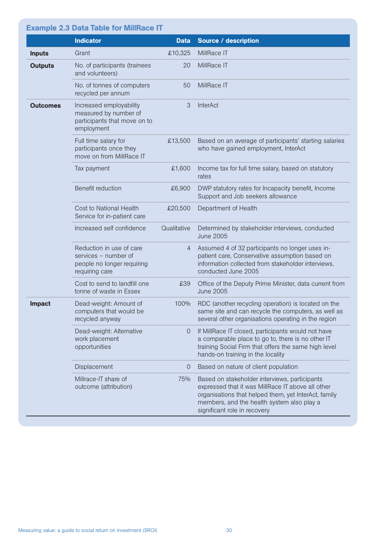|                 | <b>Example 2.3 Data Table for MillRace IT</b>                                                    |                |                                                                                                                                                                                                                                          |
|-----------------|--------------------------------------------------------------------------------------------------|----------------|------------------------------------------------------------------------------------------------------------------------------------------------------------------------------------------------------------------------------------------|
|                 | <b>Indicator</b>                                                                                 | <b>Data</b>    | <b>Source / description</b>                                                                                                                                                                                                              |
| <b>Inputs</b>   | Grant                                                                                            | £10,325        | MillRace IT                                                                                                                                                                                                                              |
| <b>Outputs</b>  | No. of participants (trainees<br>and volunteers)                                                 | 20             | MillRace IT                                                                                                                                                                                                                              |
|                 | No. of tonnes of computers<br>recycled per annum                                                 | 50             | MillRace IT                                                                                                                                                                                                                              |
| <b>Outcomes</b> | Increased employability<br>measured by number of<br>participants that move on to<br>employment   | 3              | <b>InterAct</b>                                                                                                                                                                                                                          |
|                 | Full time salary for<br>participants once they<br>move on from MillRace IT                       | £13,500        | Based on an average of participants' starting salaries<br>who have gained employment, InterAct                                                                                                                                           |
|                 | Tax payment                                                                                      | £1,600         | Income tax for full time salary, based on statutory<br>rates                                                                                                                                                                             |
|                 | Benefit reduction                                                                                | £6,900         | DWP statutory rates for Incapacity benefit, Income<br>Support and Job seekers allowance                                                                                                                                                  |
|                 | Cost to National Health<br>Service for in-patient care                                           | £20,500        | Department of Health                                                                                                                                                                                                                     |
|                 | Increased self confidence                                                                        | Qualitative    | Determined by stakeholder interviews, conducted<br><b>June 2005</b>                                                                                                                                                                      |
|                 | Reduction in use of care<br>services - number of<br>people no longer requiring<br>requiring care | $\overline{4}$ | Assumed 4 of 32 participants no longer uses in-<br>patient care, Conservative assumption based on<br>information collected from stakeholder interviews,<br>conducted June 2005                                                           |
|                 | Cost to send to landfill one<br>tonne of waste in Essex                                          | £39            | Office of the Deputy Prime Minister, data current from<br><b>June 2005</b>                                                                                                                                                               |
| Impact          | Dead-weight: Amount of<br>computers that would be<br>recycled anyway                             | 100%           | RDC (another recycling operation) is located on the<br>same site and can recycle the computers, as well as<br>several other organisations operating in the region                                                                        |
|                 | Dead-weight: Alternative<br>work placement<br>opportunities                                      | $\overline{0}$ | If MillRace IT closed, participants would not have<br>a comparable place to go to, there is no other IT<br>training Social Firm that offers the same high level<br>hands-on training in the locality                                     |
|                 | Displacement                                                                                     | 0              | Based on nature of client population                                                                                                                                                                                                     |
|                 | Millrace-IT share of<br>outcome (attribution)                                                    | 75%            | Based on stakeholder interviews, participants<br>expressed that it was MillRace IT above all other<br>organisations that helped them, yet InterAct, family<br>members, and the health system also play a<br>significant role in recovery |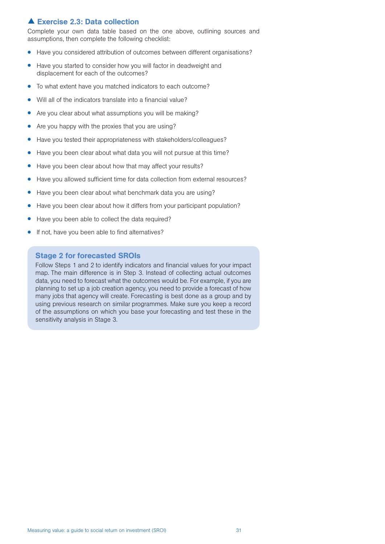## **A Exercise 2.3: Data collection**

Complete your own data table based on the one above, outlining sources and assumptions, then complete the following checklist:

- Have you considered attribution of outcomes between different organisations?
- Have you started to consider how you will factor in deadweight and displacement for each of the outcomes?
- To what extent have you matched indicators to each outcome?
- Will all of the indicators translate into a financial value?
- Are you clear about what assumptions you will be making?
- Are you happy with the proxies that you are using?
- Have you tested their appropriateness with stakeholders/colleagues?
- Have you been clear about what data you will not pursue at this time?
- Have you been clear about how that may affect your results?
- Have you allowed sufficient time for data collection from external resources?
- Have you been clear about what benchmark data you are using?
- Have you been clear about how it differs from your participant population?
- Have you been able to collect the data required?
- If not, have you been able to find alternatives?

#### Stage 2 for forecasted SROIs

Follow Steps 1 and 2 to identify indicators and financial values for your impact map. The main difference is in Step 3. Instead of collecting actual outcomes data, you need to forecast what the outcomes would be. For example, if you are planning to set up a job creation agency, you need to provide a forecast of how many jobs that agency will create. Forecasting is best done as a group and by using previous research on similar programmes. Make sure you keep a record of the assumptions on which you base your forecasting and test these in the sensitivity analysis in Stage 3.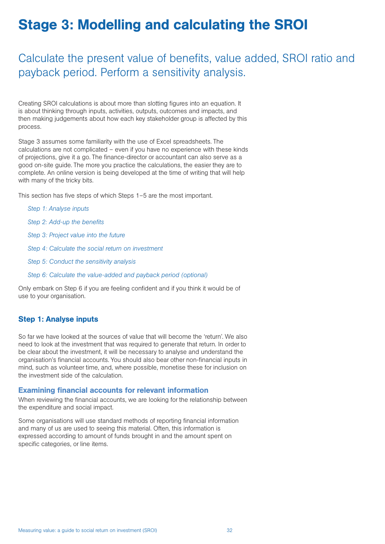# Stage 3: Modelling and calculating the SROI

## Calculate the present value of benefits, value added, SROI ratio and payback period. Perform a sensitivity analysis.

Creating SROI calculations is about more than slotting figures into an equation. It is about thinking through inputs, activities, outputs, outcomes and impacts, and then making judgements about how each key stakeholder group is affected by this process.

Stage 3 assumes some familiarity with the use of Excel spreadsheets. The calculations are not complicated – even if you have no experience with these kinds of projections, give it a go. The finance-director or accountant can also serve as a good on-site guide. The more you practice the calculations, the easier they are to complete. An online version is being developed at the time of writing that will help with many of the tricky bits.

This section has five steps of which Steps 1–5 are the most important.

| Step 1: Analyse inputs                                          |
|-----------------------------------------------------------------|
| Step 2: Add-up the benefits                                     |
| Step 3: Project value into the future                           |
| Step 4: Calculate the social return on investment               |
| Step 5: Conduct the sensitivity analysis                        |
| Step 6: Calculate the value-added and payback period (optional) |

Only embark on Step 6 if you are feeling confident and if you think it would be of use to your organisation.

## Step 1: Analyse inputs

So far we have looked at the sources of value that will become the 'return'. We also need to look at the investment that was required to generate that return. In order to be clear about the investment, it will be necessary to analyse and understand the organisation's financial accounts. You should also bear other non-financial inputs in mind, such as volunteer time, and, where possible, monetise these for inclusion on the investment side of the calculation.

#### Examining financial accounts for relevant information

When reviewing the financial accounts, we are looking for the relationship between the expenditure and social impact.

Some organisations will use standard methods of reporting financial information and many of us are used to seeing this material. Often, this information is expressed according to amount of funds brought in and the amount spent on specific categories, or line items.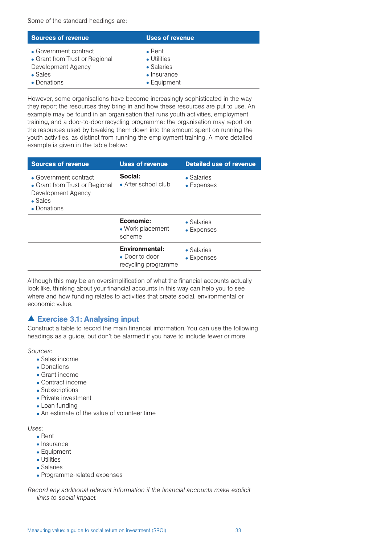Some of the standard headings are:

| <b>Sources of revenue</b>      | Uses of revenue     |
|--------------------------------|---------------------|
| • Government contract          | $\bullet$ Rent      |
| • Grant from Trust or Regional | • Utilities         |
| Development Agency             | $\bullet$ Salaries  |
| $\bullet$ Sales                | $\bullet$ Insurance |
| • Donations                    | • Equipment         |

However, some organisations have become increasingly sophisticated in the way they report the resources they bring in and how these resources are put to use. An example may be found in an organisation that runs youth activities, employment training, and a door-to-door recycling programme: the organisation may report on the resources used by breaking them down into the amount spent on running the youth activities, as distinct from running the employment training. A more detailed example is given in the table below:

| <b>Sources of revenue</b>                                                                                       | <b>Uses of revenue</b>                                                 | <b>Detailed use of revenue</b> |  |
|-----------------------------------------------------------------------------------------------------------------|------------------------------------------------------------------------|--------------------------------|--|
| • Government contract<br>• Grant from Trust or Regional<br>Development Agency<br>$\bullet$ Sales<br>• Donations | Social:<br>• After school club                                         | • Salaries<br>• Expenses       |  |
|                                                                                                                 | Economic:<br>• Work placement<br>scheme                                | • Salaries<br>• Expenses       |  |
|                                                                                                                 | <b>Environmental:</b><br>$\bullet$ Door to door<br>recycling programme | • Salaries<br>• Expenses       |  |

Although this may be an oversimplification of what the financial accounts actually look like, thinking about your financial accounts in this way can help you to see where and how funding relates to activities that create social, environmental or economic value.

## Exercise 3.1: Analysing input

Construct a table to record the main financial information. You can use the following headings as a guide, but don't be alarmed if you have to include fewer or more.

*Sources:*

- Sales income
- Donations
- Grant income
- Contract income
- Subscriptions
- Private investment
- Loan funding
- An estimate of the value of volunteer time

*Uses:* 

- Rent
- Insurance
- Equipment
- Utilities
- Salaries
- Programme-related expenses

*Record any additional relevant information if the financial accounts make explicit links to social impact.*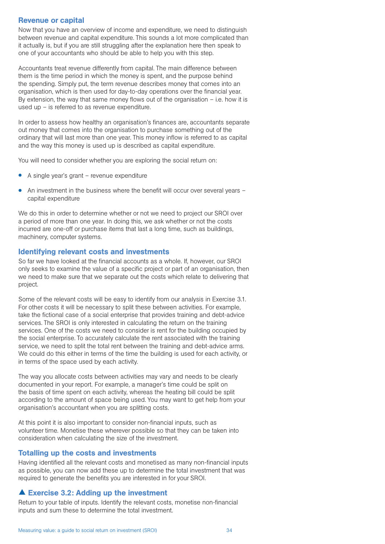#### Revenue or capital

Now that you have an overview of income and expenditure, we need to distinguish between revenue and capital expenditure. This sounds a lot more complicated than it actually is, but if you are still struggling after the explanation here then speak to one of your accountants who should be able to help you with this step.

Accountants treat revenue differently from capital. The main difference between them is the time period in which the money is spent, and the purpose behind the spending. Simply put, the term revenue describes money that comes into an organisation, which is then used for day-to-day operations over the financial year. By extension, the way that same money flows out of the organisation  $-$  i.e. how it is used up – is referred to as revenue expenditure.

In order to assess how healthy an organisation's finances are, accountants separate out money that comes into the organisation to purchase something out of the ordinary that will last more than one year. This money inflow is referred to as capital and the way this money is used up is described as capital expenditure.

You will need to consider whether you are exploring the social return on:

- A single year's grant revenue expenditure
- An investment in the business where the benefit will occur over several years capital expenditure

We do this in order to determine whether or not we need to project our SROI over a period of more than one year. In doing this, we ask whether or not the costs incurred are one-off or purchase items that last a long time, such as buildings, machinery, computer systems.

#### Identifying relevant costs and investments

So far we have looked at the financial accounts as a whole. If, however, our SROI only seeks to examine the value of a specific project or part of an organisation, then we need to make sure that we separate out the costs which relate to delivering that project.

Some of the relevant costs will be easy to identify from our analysis in Exercise 3.1. For other costs it will be necessary to split these between activities. For example, take the fictional case of a social enterprise that provides training and debt-advice services. The SROI is only interested in calculating the return on the training services. One of the costs we need to consider is rent for the building occupied by the social enterprise. To accurately calculate the rent associated with the training service, we need to split the total rent between the training and debt-advice arms. We could do this either in terms of the time the building is used for each activity, or in terms of the space used by each activity.

The way you allocate costs between activities may vary and needs to be clearly documented in your report. For example, a manager's time could be split on the basis of time spent on each activity, whereas the heating bill could be split according to the amount of space being used. You may want to get help from your organisation's accountant when you are splitting costs.

At this point it is also important to consider non-financial inputs, such as volunteer time. Monetise these wherever possible so that they can be taken into consideration when calculating the size of the investment.

#### Totalling up the costs and investments

Having identified all the relevant costs and monetised as many non-financial inputs as possible, you can now add these up to determine the total investment that was required to generate the benefits you are interested in for your SROI.

#### Exercise 3.2: Adding up the investment

Return to your table of inputs. Identify the relevant costs, monetise non-financial inputs and sum these to determine the total investment.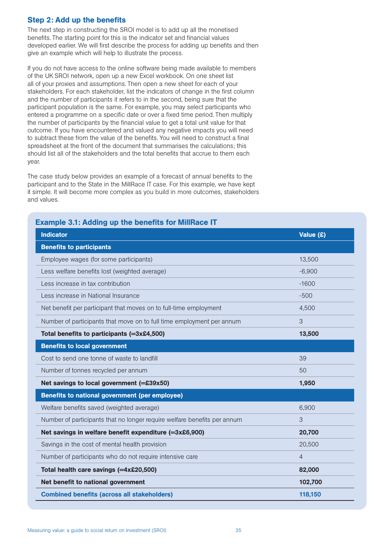## Step 2: Add up the benefits

The next step in constructing the SROI model is to add up all the monetised benefits. The starting point for this is the indicator set and financial values developed earlier. We will first describe the process for adding up benefits and then give an example which will help to illustrate the process.

If you do not have access to the online software being made available to members of the UK SROI network, open up a new Excel workbook. On one sheet list all of your proxies and assumptions. Then open a new sheet for each of your stakeholders. For each stakeholder, list the indicators of change in the first column and the number of participants it refers to in the second, being sure that the participant population is the same. For example, you may select participants who entered a programme on a specific date or over a fixed time period. Then multiply the number of participants by the financial value to get a total unit value for that outcome. If you have encountered and valued any negative impacts you will need to subtract these from the value of the benefits. You will need to construct a final spreadsheet at the front of the document that summarises the calculations; this should list all of the stakeholders and the total benefits that accrue to them each year.

The case study below provides an example of a forecast of annual benefits to the participant and to the State in the MillRace IT case. For this example, we have kept it simple. It will become more complex as you build in more outcomes, stakeholders and values.

| <b>Indicator</b>                                                         | Value $(\hat{x})$ |
|--------------------------------------------------------------------------|-------------------|
| <b>Benefits to participants</b>                                          |                   |
| Employee wages (for some participants)                                   | 13,500            |
| Less welfare benefits lost (weighted average)                            | $-6,900$          |
| Less increase in tax contribution                                        | $-1600$           |
| Less increase in National Insurance                                      | $-500$            |
| Net benefit per participant that moves on to full-time employment        | 4,500             |
| Number of participants that move on to full time employment per annum    | 3                 |
| Total benefits to participants (=3x£4,500)                               | 13,500            |
| <b>Benefits to local government</b>                                      |                   |
| Cost to send one tonne of waste to landfill                              | 39                |
| Number of tonnes recycled per annum                                      | 50                |
| Net savings to local government (=£39x50)                                | 1,950             |
| Benefits to national government (per employee)                           |                   |
| Welfare benefits saved (weighted average)                                | 6,900             |
| Number of participants that no longer require welfare benefits per annum | 3                 |
| Net savings in welfare benefit expenditure (=3x£6,900)                   | 20,700            |
| Savings in the cost of mental health provision                           | 20,500            |
| Number of participants who do not require intensive care                 | $\overline{4}$    |
| Total health care savings (=4x£20,500)                                   | 82,000            |
| Net benefit to national government                                       | 102,700           |
| <b>Combined benefits (across all stakeholders)</b>                       | 118,150           |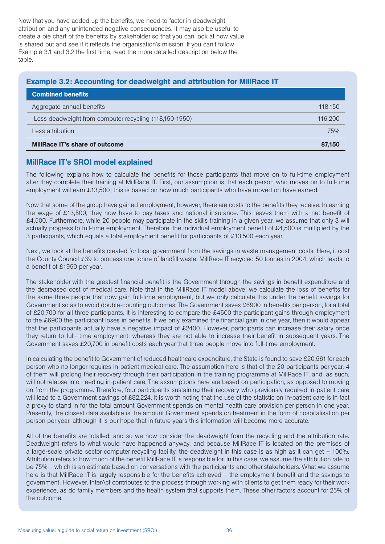Now that you have added up the benefits, we need to factor in deadweight, attribution and any unintended negative consequences. It may also be useful to create a pie chart of the benefits by stakeholder so that you can look at how value is shared out and see if it reflects the organisation's mission. If you can't follow Example 3.1 and 3.2 the first time, read the more detailed description below the table.

## Example 3.2: Accounting for deadweight and attribution for MillRace IT

| <b>Combined benefits</b>                               |         |
|--------------------------------------------------------|---------|
| Aggregate annual benefits                              | 118.150 |
| Less deadweight from computer recycling (118,150-1950) | 116,200 |
| Less attribution                                       | 75%     |
| MillRace IT's share of outcome                         | 87.150  |

## MillRace IT's SROI model explained

The following explains how to calculate the benefits for those participants that move on to full-time employment after they complete their training at MillRace IT. First, our assumption is that each person who moves on to full-time employment will earn £13,500; this is based on how much participants who have moved on have earned.

Now that some of the group have gained employment, however, there are costs to the benefits they receive. In earning the wage of £13,500, they now have to pay taxes and national insurance. This leaves them with a net benefit of £4,500. Furthermore, while 20 people may participate in the skills training in a given year, we assume that only 3 will actually progress to full-time employment. Therefore, the individual employment benefit of £4,500 is multiplied by the 3 participants, which equals a total employment benefit for participants of £13,500 each year.

Next, we look at the benefits created for local government from the savings in waste management costs. Here, it cost the County Council £39 to process one tonne of landfill waste. MillRace IT recycled 50 tonnes in 2004, which leads to a benefit of £1950 per year.

The stakeholder with the greatest financial benefit is the Government through the savings in benefit expenditure and the decreased cost of medical care. Note that in the MillRace IT model above, we calculate the loss of benefits for the same three people that now gain full-time employment, but we only calculate this under the benefit savings for Government so as to avoid double-counting outcomes. The Government saves £6900 in benefits per person, for a total of £20,700 for all three participants. It is interesting to compare the £4500 the participant gains through employment to the £6900 the participant loses in benefits. If we only examined the financial gain in one year, then it would appear that the participants actually have a negative impact of £2400. However, participants can increase their salary once they return to full- time employment, whereas they are not able to increase their benefit in subsequent years. The Government saves £20,700 in benefit costs each year that three people move into full-time employment.

In calculating the benefit to Government of reduced healthcare expenditure, the State is found to save £20,561 for each person who no longer requires in-patient medical care. The assumption here is that of the 20 participants per year, 4 of them will prolong their recovery through their participation in the training programme at MillRace IT, and, as such, will not relapse into needing in-patient care. The assumptions here are based on participation, as opposed to moving on from the programme. Therefore, four participants sustaining their recovery who previously required in-patient care will lead to a Government savings of £82,224. It is worth noting that the use of the statistic on in-patient care is in fact a proxy to stand in for the total amount Government spends on mental health care provision per person in one year. Presently, the closest data available is the amount Government spends on treatment in the form of hospitalisation per person per year, although it is our hope that in future years this information will become more accurate.

All of the benefits are totalled, and so we now consider the deadweight from the recycling and the attribution rate. Deadweight refers to what would have happened anyway, and because MillRace IT is located on the premises of a large-scale private sector computer recycling facility, the deadweight in this case is as high as it can get – 100%. Attribution refers to how much of the benefit MillRace IT is responsible for. In this case, we assume the attribution rate to be 75% – which is an estimate based on conversations with the participants and other stakeholders. What we assume here is that MillRace IT is largely responsible for the benefits achieved – the employment benefit and the savings to government. However, InterAct contributes to the process through working with clients to get them ready for their work experience, as do family members and the health system that supports them. These other factors account for 25% of the outcome.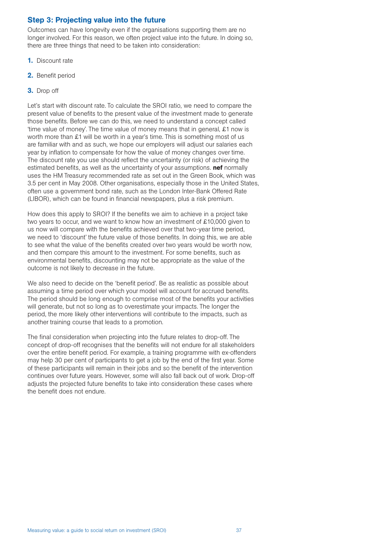## Step 3: Projecting value into the future

Outcomes can have longevity even if the organisations supporting them are no longer involved. For this reason, we often project value into the future. In doing so, there are three things that need to be taken into consideration:

- 1. Discount rate
- 2. Benefit period
- 3. Drop off

Let's start with discount rate. To calculate the SROI ratio, we need to compare the present value of benefits to the present value of the investment made to generate those benefits. Before we can do this, we need to understand a concept called 'time value of money'. The time value of money means that in general, £1 now is worth more than £1 will be worth in a year's time. This is something most of us are familiar with and as such, we hope our employers will adjust our salaries each year by inflation to compensate for how the value of money changes over time. The discount rate you use should reflect the uncertainty (or risk) of achieving the estimated benefits, as well as the uncertainty of your assumptions. **nef** normally uses the HM Treasury recommended rate as set out in the Green Book, which was 3.5 per cent in May 2008. Other organisations, especially those in the United States, often use a government bond rate, such as the London Inter-Bank Offered Rate (LIBOR), which can be found in financial newspapers, plus a risk premium.

How does this apply to SROI? If the benefits we aim to achieve in a project take two years to occur, and we want to know how an investment of £10,000 given to us now will compare with the benefits achieved over that two-year time period, we need to 'discount' the future value of those benefits. In doing this, we are able to see what the value of the benefits created over two years would be worth now, and then compare this amount to the investment. For some benefits, such as environmental benefits, discounting may not be appropriate as the value of the outcome is not likely to decrease in the future.

We also need to decide on the 'benefit period'. Be as realistic as possible about assuming a time period over which your model will account for accrued benefits. The period should be long enough to comprise most of the benefits your activities will generate, but not so long as to overestimate your impacts. The longer the period, the more likely other interventions will contribute to the impacts, such as another training course that leads to a promotion.

The final consideration when projecting into the future relates to drop-off. The concept of drop-off recognises that the benefits will not endure for all stakeholders over the entire benefit period. For example, a training programme with ex-offenders may help 30 per cent of participants to get a job by the end of the first year. Some of these participants will remain in their jobs and so the benefit of the intervention continues over future years. However, some will also fall back out of work. Drop-off adjusts the projected future benefits to take into consideration these cases where the benefit does not endure.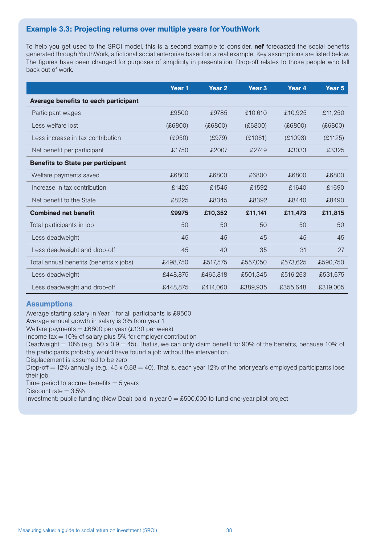## Example 3.3: Projecting returns over multiple years for YouthWork

To help you get used to the SROI model, this is a second example to consider. **nef** forecasted the social benefits generated through YouthWork, a fictional social enterprise based on a real example. Key assumptions are listed below. The figures have been changed for purposes of simplicity in presentation. Drop-off relates to those people who fall back out of work.

|                                          | Year <sub>1</sub> | Year <sub>2</sub> | Year <sub>3</sub> | Year 4   | Year 5   |
|------------------------------------------|-------------------|-------------------|-------------------|----------|----------|
| Average benefits to each participant     |                   |                   |                   |          |          |
| Participant wages                        | £9500             | £9785             | £10,610           | £10,925  | £11,250  |
| Less welfare lost                        | (6800)            | (£6800)           | (6800)            | (E6800)  | (6800)   |
| Less increase in tax contribution        | (E950)            | (E979)            | £1061)            | £1093)   | (E1125)  |
| Net benefit per participant              | £1750             | £2007             | £2749             | £3033    | £3325    |
| <b>Benefits to State per participant</b> |                   |                   |                   |          |          |
| Welfare payments saved                   | £6800             | £6800             | £6800             | £6800    | £6800    |
| Increase in tax contribution             | £1425             | £1545             | £1592             | £1640    | £1690    |
| Net benefit to the State                 | £8225             | £8345             | £8392             | £8440    | £8490    |
| <b>Combined net benefit</b>              | £9975             | £10,352           | £11,141           | £11,473  | £11,815  |
| Total participants in job                | 50                | 50                | 50                | 50       | 50       |
| Less deadweight                          | 45                | 45                | 45                | 45       | 45       |
| Less deadweight and drop-off             | 45                | 40                | 35                | 31       | 27       |
| Total annual benefits (benefits x jobs)  | £498,750          | £517,575          | £557,050          | £573,625 | £590,750 |
| Less deadweight                          | £448,875          | £465,818          | £501,345          | £516,263 | £531,675 |
| Less deadweight and drop-off             | £448,875          | £414.060          | £389,935          | £355.648 | £319,005 |

## **Assumptions**

Average starting salary in Year 1 for all participants is £9500

Average annual growth in salary is 3% from year 1

Welfare payments =  $£6800$  per year (£130 per week)

Income  $tax = 10%$  of salary plus 5% for employer contribution

Deadweight = 10% (e.g., 50 x 0.9 = 45). That is, we can only claim benefit for 90% of the benefits, because 10% of the participants probably would have found a job without the intervention.

Displacement is assumed to be zero

Drop-off  $= 12\%$  annually (e.g.,  $45 \times 0.88 = 40$ ). That is, each year 12% of the prior year's employed participants lose their job.

Time period to accrue benefits  $= 5$  years

Discount rate  $= 3.5\%$ 

Investment: public funding (New Deal) paid in year  $0 = £500,000$  to fund one-year pilot project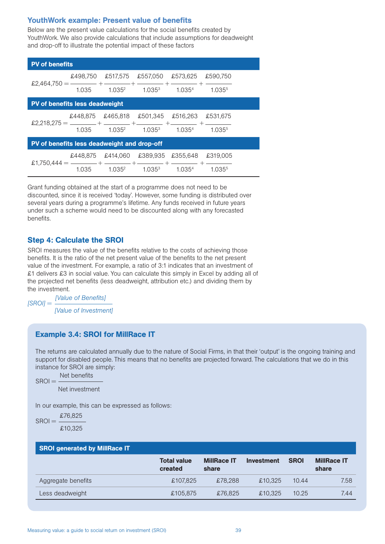#### YouthWork example: Present value of benefits

Below are the present value calculations for the social benefits created by YouthWork. We also provide calculations that include assumptions for deadweight and drop-off to illustrate the potential impact of these factors

| <b>PV of benefits</b>                       |          |                    |                    |                    |                    |  |
|---------------------------------------------|----------|--------------------|--------------------|--------------------|--------------------|--|
|                                             | £498.750 | £517,575           | £557,050           | £573,625           | £590.750           |  |
| £2.464.750                                  | 1.035    | 1.035 <sup>2</sup> | 1.035 <sup>3</sup> | 1.0354             | 1.0355             |  |
| <b>PV of benefits less deadweight</b>       |          |                    |                    |                    |                    |  |
|                                             | £448,875 | £465.818           | £501.345           | £516,263           | £531.675           |  |
|                                             | 1.035    | 1.035 <sup>2</sup> | 1.035 <sup>3</sup> | 1.035 <sup>4</sup> | 1.035 <sup>5</sup> |  |
| PV of benefits less deadweight and drop-off |          |                    |                    |                    |                    |  |
|                                             | £448.875 | £414.060           | £389,935           | £355,648           | £319,005           |  |
| £1.750.444 $=$                              | 1.035    | $1.035^{2}$        | 1.035 <sup>3</sup> | 1.035 <sup>4</sup> | $1.035^{5}$        |  |

Grant funding obtained at the start of a programme does not need to be discounted, since it is received 'today'. However, some funding is distributed over several years during a programme's lifetime. Any funds received in future years under such a scheme would need to be discounted along with any forecasted benefits.

## Step 4: Calculate the SROI

SROI measures the value of the benefits relative to the costs of achieving those benefits. It is the ratio of the net present value of the benefits to the net present value of the investment. For example, a ratio of 3:1 indicates that an investment of £1 delivers £3 in social value. You can calculate this simply in Excel by adding all of the projected net benefits (less deadweight, attribution etc.) and dividing them by the investment.

*[SROI] = [Value of Benefits] [Value of Investment]*

## Example 3.4: SROI for MillRace IT

The returns are calculated annually due to the nature of Social Firms, in that their 'output' is the ongoing training and support for disabled people. This means that no benefits are projected forward. The calculations that we do in this instance for SROI are simply:

 $SROI =$ Net benefits Net investment

In our example, this can be expressed as follows:

 $SROI = \frac{\pounds 76,825}{4}$ £10,325

| <b>SROI generated by MillRace IT</b> |                               |                             |            |             |                             |
|--------------------------------------|-------------------------------|-----------------------------|------------|-------------|-----------------------------|
|                                      | <b>Total value</b><br>created | <b>MillRace IT</b><br>share | Investment | <b>SROI</b> | <b>MillRace IT</b><br>share |
| Aggregate benefits                   | £107.825                      | £78.288                     | £10.325    | 10.44       | 7.58                        |
| Less deadweight                      | £105.875                      | £76.825                     | £10.325    | 10.25       | 7.44                        |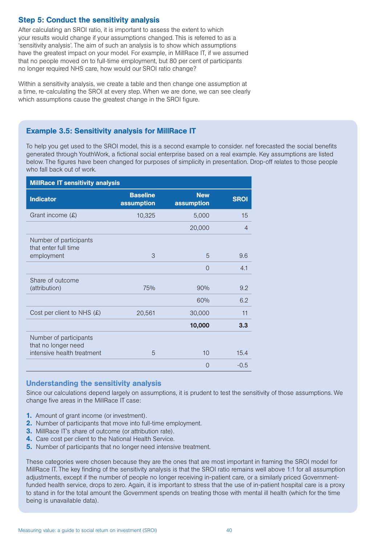## Step 5: Conduct the sensitivity analysis

After calculating an SROI ratio, it is important to assess the extent to which your results would change if your assumptions changed. This is referred to as a 'sensitivity analysis'. The aim of such an analysis is to show which assumptions have the greatest impact on your model. For example, in MillRace IT, if we assumed that no people moved on to full-time employment, but 80 per cent of participants no longer required NHS care, how would our SROI ratio change?

Within a sensitivity analysis, we create a table and then change one assumption at a time, re-calculating the SROI at every step. When we are done, we can see clearly which assumptions cause the greatest change in the SROI figure.

## Example 3.5: Sensitivity analysis for MillRace IT

To help you get used to the SROI model, this is a second example to consider. nef forecasted the social benefits generated through YouthWork, a fictional social enterprise based on a real example. Key assumptions are listed below. The figures have been changed for purposes of simplicity in presentation. Drop-off relates to those people who fall back out of work.

| <b>MillRace IT sensitivity analysis</b>        |                               |                          |                |
|------------------------------------------------|-------------------------------|--------------------------|----------------|
| <b>Indicator</b>                               | <b>Baseline</b><br>assumption | <b>New</b><br>assumption | <b>SROI</b>    |
| Grant income (£)                               | 10,325                        | 5,000                    | 15             |
|                                                |                               | 20,000                   | $\overline{4}$ |
| Number of participants<br>that enter full time |                               |                          |                |
| employment                                     | 3                             | 5                        | 9.6            |
|                                                |                               | $\Omega$                 | 4.1            |
| Share of outcome                               |                               |                          |                |
| (attribution)                                  | 75%                           | 90%                      | 9.2            |
|                                                |                               | 60%                      | 6.2            |
| Cost per client to NHS $(E)$                   | 20,561                        | 30,000                   | 11             |
|                                                |                               | 10,000                   | 3.3            |
| Number of participants<br>that no longer need  |                               |                          |                |
| intensive health treatment                     | 5                             | 10                       | 15.4           |
|                                                |                               | $\Omega$                 | $-0.5$         |

## Understanding the sensitivity analysis

Since our calculations depend largely on assumptions, it is prudent to test the sensitivity of those assumptions. We change five areas in the MillRace IT case:

- **1.** Amount of grant income (or investment).
- 2. Number of participants that move into full-time employment.
- **3.** MillRace IT's share of outcome (or attribution rate).
- 4. Care cost per client to the National Health Service.
- **5.** Number of participants that no longer need intensive treatment.

These categories were chosen because they are the ones that are most important in framing the SROI model for MillRace IT. The key finding of the sensitivity analysis is that the SROI ratio remains well above 1:1 for all assumption adjustments, except if the number of people no longer receiving in-patient care, or a similarly priced Governmentfunded health service, drops to zero. Again, it is important to stress that the use of in-patient hospital care is a proxy to stand in for the total amount the Government spends on treating those with mental ill health (which for the time being is unavailable data).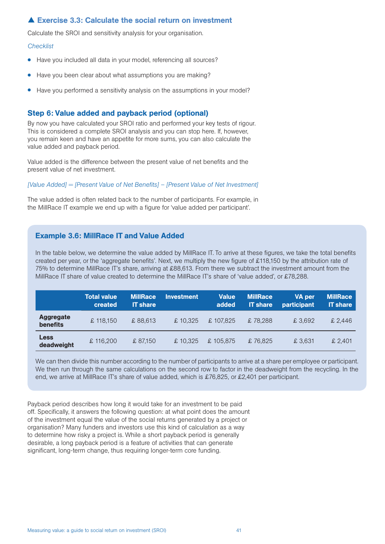## Exercise 3.3: Calculate the social return on investment

Calculate the SROI and sensitivity analysis for your organisation.

#### *Checklist*

- Have you included all data in your model, referencing all sources?
- Have you been clear about what assumptions you are making?
- Have you performed a sensitivity analysis on the assumptions in your model?

#### Step 6: Value added and payback period (optional)

By now you have calculated your SROI ratio and performed your key tests of rigour. This is considered a complete SROI analysis and you can stop here. If, however, you remain keen and have an appetite for more sums, you can also calculate the value added and payback period.

Value added is the difference between the present value of net benefits and the present value of net investment.

*[Value Added] = [Present Value of Net Benefits] – [Present Value of Net Investment]*

The value added is often related back to the number of participants. For example, in the MillRace IT example we end up with a figure for 'value added per participant'.

#### Example 3.6: MillRace IT and Value Added

In the table below, we determine the value added by MillRace IT. To arrive at these figures, we take the total benefits created per year, or the 'aggregate benefits'. Next, we multiply the new figure of £118,150 by the attribution rate of 75% to determine MillRace IT's share, arriving at £88,613. From there we subtract the investment amount from the MillRace IT share of value created to determine the MillRace IT's share of 'value added', or £78,288.

|                              | <b>Total value</b><br>created | <b>MillRace</b><br><b>IT</b> share | <b>Investment</b> | <b>Value</b><br>added | <b>MillRace</b><br><b>IT share</b> | <b>VA</b> per<br>participant | <b>MillRace</b><br><b>IT share</b> |
|------------------------------|-------------------------------|------------------------------------|-------------------|-----------------------|------------------------------------|------------------------------|------------------------------------|
| <b>Aggregate</b><br>benefits | £118.150                      | £88.613                            | £10.325           | £107.825              | £78.288                            | £3.692                       | £2.446                             |
| <b>Less</b><br>deadweight    | £116.200                      | £87.150                            | £10.325           | £105.875              | £76.825                            | £ 3.631                      | £2.401                             |

We can then divide this number according to the number of participants to arrive at a share per employee or participant. We then run through the same calculations on the second row to factor in the deadweight from the recycling. In the end, we arrive at MillRace IT's share of value added, which is £76,825, or £2,401 per participant.

Payback period describes how long it would take for an investment to be paid off. Specifically, it answers the following question: at what point does the amount of the investment equal the value of the social returns generated by a project or organisation? Many funders and investors use this kind of calculation as a way to determine how risky a project is. While a short payback period is generally desirable, a long payback period is a feature of activities that can generate significant, long-term change, thus requiring longer-term core funding.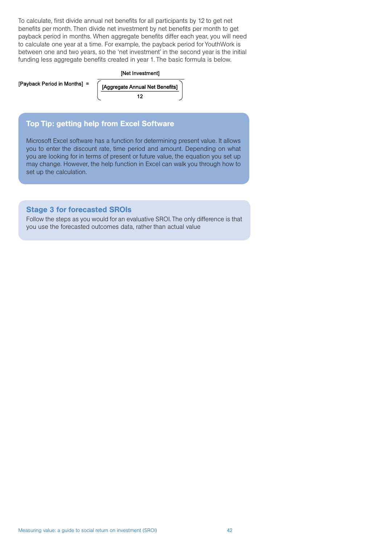To calculate, first divide annual net benefits for all participants by 12 to get net benefits per month. Then divide net investment by net benefits per month to get payback period in months. When aggregate benefits differ each year, you will need to calculate one year at a time. For example, the payback period for YouthWork is between one and two years, so the 'net investment' in the second year is the initial funding less aggregate benefits created in year 1. The basic formula is below.



### Top Tip: getting help from Excel Software

Microsoft Excel software has a function for determining present value. It allows you to enter the discount rate, time period and amount. Depending on what you are looking for in terms of present or future value, the equation you set up may change. However, the help function in Excel can walk you through how to set up the calculation.

## Stage 3 for forecasted SROIs

Follow the steps as you would for an evaluative SROI. The only difference is that you use the forecasted outcomes data, rather than actual value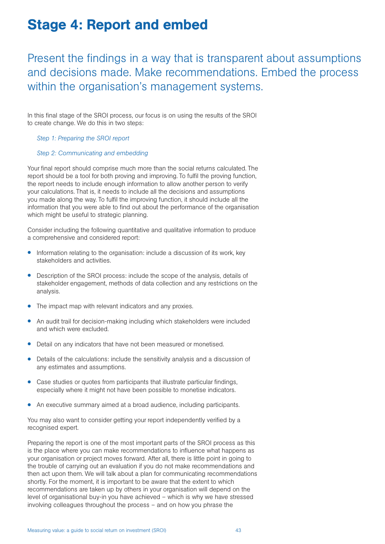## Stage 4: Report and embed

Present the findings in a way that is transparent about assumptions and decisions made. Make recommendations. Embed the process within the organisation's management systems.

In this final stage of the SROI process, our focus is on using the results of the SROI to create change. We do this in two steps:

#### *Step 1: Preparing the SROI report*

#### *Step 2: Communicating and embedding*

Your final report should comprise much more than the social returns calculated. The report should be a tool for both proving and improving. To fulfil the proving function, the report needs to include enough information to allow another person to verify your calculations. That is, it needs to include all the decisions and assumptions you made along the way. To fulfil the improving function, it should include all the information that you were able to find out about the performance of the organisation which might be useful to strategic planning.

Consider including the following quantitative and qualitative information to produce a comprehensive and considered report:

- Information relating to the organisation: include a discussion of its work, key stakeholders and activities.
- Description of the SROI process: include the scope of the analysis, details of stakeholder engagement, methods of data collection and any restrictions on the analysis.
- The impact map with relevant indicators and any proxies.
- An audit trail for decision-making including which stakeholders were included and which were excluded.
- Detail on any indicators that have not been measured or monetised.
- Details of the calculations: include the sensitivity analysis and a discussion of any estimates and assumptions.
- Case studies or quotes from participants that illustrate particular findings, especially where it might not have been possible to monetise indicators.
- An executive summary aimed at a broad audience, including participants.

You may also want to consider getting your report independently verified by a recognised expert.

Preparing the report is one of the most important parts of the SROI process as this is the place where you can make recommendations to influence what happens as your organisation or project moves forward. After all, there is little point in going to the trouble of carrying out an evaluation if you do not make recommendations and then act upon them. We will talk about a plan for communicating recommendations shortly. For the moment, it is important to be aware that the extent to which recommendations are taken up by others in your organisation will depend on the level of organisational buy-in you have achieved – which is why we have stressed involving colleagues throughout the process – and on how you phrase the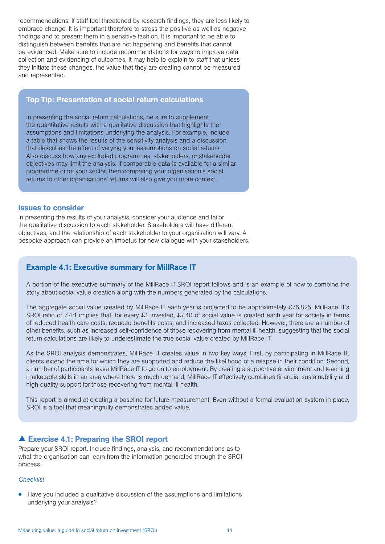recommendations. If staff feel threatened by research findings, they are less likely to embrace change. It is important therefore to stress the positive as well as negative findings and to present them in a sensitive fashion. It is important to be able to distinguish between benefits that are not happening and benefits that cannot be evidenced. Make sure to include recommendations for ways to improve data collection and evidencing of outcomes. It may help to explain to staff that unless they initiate these changes, the value that they are creating cannot be measured and represented.

#### Top Tip: Presentation of social return calculations

In presenting the social return calculations, be sure to supplement the quantitative results with a qualitative discussion that highlights the assumptions and limitations underlying the analysis. For example, include a table that shows the results of the sensitivity analysis and a discussion that describes the effect of varying your assumptions on social returns. Also discuss how any excluded programmes, stakeholders, or stakeholder objectives may limit the analysis. If comparable data is available for a similar programme or for your sector, then comparing your organisation's social returns to other organisations' returns will also give you more context.

#### Issues to consider

In presenting the results of your analysis, consider your audience and tailor the qualitative discussion to each stakeholder. Stakeholders will have different objectives, and the relationship of each stakeholder to your organisation will vary. A bespoke approach can provide an impetus for new dialogue with your stakeholders.

#### Example 4.1: Executive summary for MillRace IT

A portion of the executive summary of the MillRace IT SROI report follows and is an example of how to combine the story about social value creation along with the numbers generated by the calculations.

The aggregate social value created by MillRace IT each year is projected to be approximately £76,825. MillRace IT's SROI ratio of 7.4:1 implies that, for every £1 invested, £7.40 of social value is created each year for society in terms of reduced health care costs, reduced benefits costs, and increased taxes collected. However, there are a number of other benefits, such as increased self-confidence of those recovering from mental ill health, suggesting that the social return calculations are likely to underestimate the true social value created by MillRace IT.

As the SROI analysis demonstrates, MillRace IT creates value in two key ways. First, by participating in MillRace IT, clients extend the time for which they are supported and reduce the likelihood of a relapse in their condition. Second, a number of participants leave MillRace IT to go on to employment. By creating a supportive environment and teaching marketable skills in an area where there is much demand, MillRace IT effectively combines financial sustainability and high quality support for those recovering from mental ill health.

This report is aimed at creating a baseline for future measurement. Even without a formal evaluation system in place, SROI is a tool that meaningfully demonstrates added value.

#### Exercise 4.1: Preparing the SROI report

Prepare your SROI report. Include findings, analysis, and recommendations as to what the organisation can learn from the information generated through the SROI process.

#### *Checklist*

• Have you included a qualitative discussion of the assumptions and limitations underlying your analysis?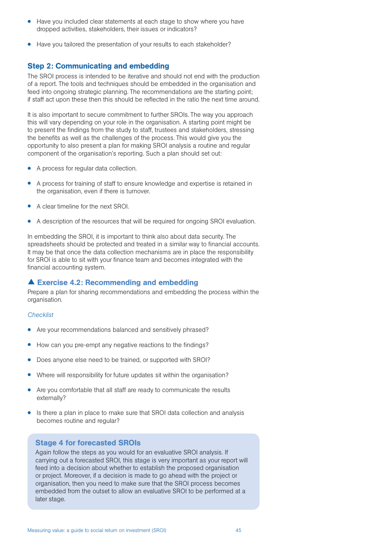- Have you included clear statements at each stage to show where you have dropped activities, stakeholders, their issues or indicators?
- Have you tailored the presentation of your results to each stakeholder?

#### Step 2: Communicating and embedding

The SROI process is intended to be iterative and should not end with the production of a report. The tools and techniques should be embedded in the organisation and feed into ongoing strategic planning. The recommendations are the starting point; if staff act upon these then this should be reflected in the ratio the next time around.

It is also important to secure commitment to further SROIs. The way you approach this will vary depending on your role in the organisation. A starting point might be to present the findings from the study to staff, trustees and stakeholders, stressing the benefits as well as the challenges of the process. This would give you the opportunity to also present a plan for making SROI analysis a routine and regular component of the organisation's reporting. Such a plan should set out:

- A process for regular data collection.
- A process for training of staff to ensure knowledge and expertise is retained in the organisation, even if there is turnover.
- A clear timeline for the next SROI.
- A description of the resources that will be required for ongoing SROI evaluation.

In embedding the SROI, it is important to think also about data security. The spreadsheets should be protected and treated in a similar way to financial accounts. It may be that once the data collection mechanisms are in place the responsibility for SROI is able to sit with your finance team and becomes integrated with the financial accounting system.

#### Exercise 4.2: Recommending and embedding

Prepare a plan for sharing recommendations and embedding the process within the organisation.

#### *Checklist*

- Are your recommendations balanced and sensitively phrased?
- How can you pre-empt any negative reactions to the findings?
- Does anyone else need to be trained, or supported with SROI?
- Where will responsibility for future updates sit within the organisation?
- Are you comfortable that all staff are ready to communicate the results externally?
- Is there a plan in place to make sure that SROI data collection and analysis becomes routine and regular?

#### Stage 4 for forecasted SROIs

Again follow the steps as you would for an evaluative SROI analysis. If carrying out a forecasted SROI, this stage is very important as your report will feed into a decision about whether to establish the proposed organisation or project. Moreover, if a decision is made to go ahead with the project or organisation, then you need to make sure that the SROI process becomes embedded from the outset to allow an evaluative SROI to be performed at a later stage.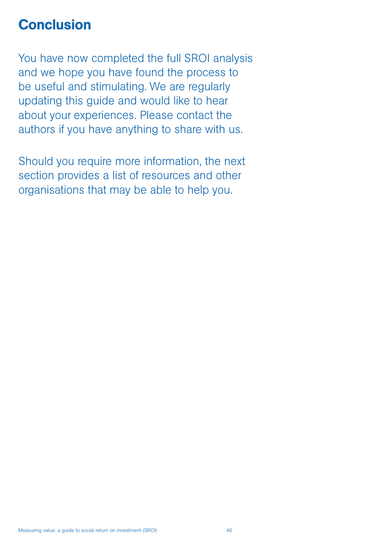## **Conclusion**

You have now completed the full SROI analysis and we hope you have found the process to be useful and stimulating. We are regularly updating this guide and would like to hear about your experiences. Please contact the authors if you have anything to share with us.

Should you require more information, the next section provides a list of resources and other organisations that may be able to help you.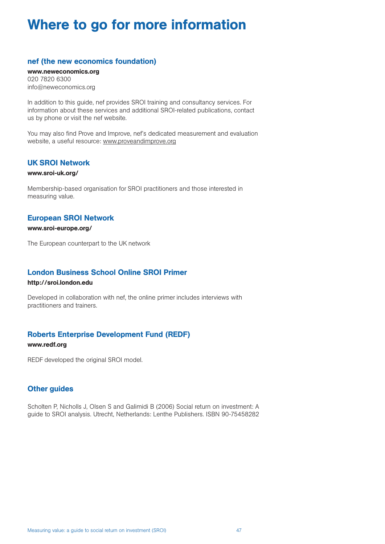## Where to go for more information

#### nef (the new economics foundation)

www.neweconomics.org 020 7820 6300 info@neweconomics.org

In addition to this guide, nef provides SROI training and consultancy services. For information about these services and additional SROI-related publications, contact us by phone or visit the nef website.

You may also find Prove and Improve, nef's dedicated measurement and evaluation website, a useful resource: www.proveandimprove.org

#### UK SROI Network

#### www.sroi-uk.org/

Membership-based organisation for SROI practitioners and those interested in measuring value.

## European SROI Network

#### www.sroi-europe.org/

The European counterpart to the UK network

## London Business School Online SROI Primer

#### http://sroi.london.edu

Developed in collaboration with nef, the online primer includes interviews with practitioners and trainers.

## Roberts Enterprise Development Fund (REDF)

#### www.redf.org

REDF developed the original SROI model.

## Other guides

Scholten P, Nicholls J, Olsen S and Galimidi B (2006) Social return on investment: A guide to SROI analysis. Utrecht, Netherlands: Lenthe Publishers. ISBN 90-75458282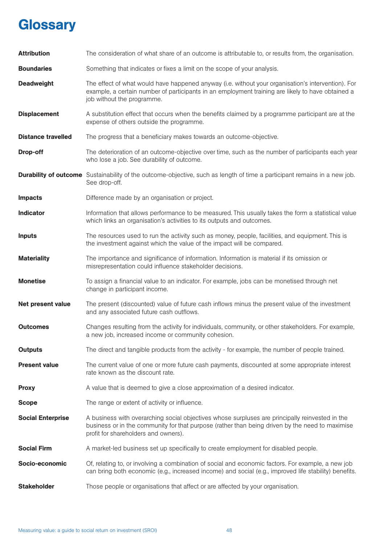## **Glossary**

| <b>Attribution</b>        | The consideration of what share of an outcome is attributable to, or results from, the organisation.                                                                                                                                       |
|---------------------------|--------------------------------------------------------------------------------------------------------------------------------------------------------------------------------------------------------------------------------------------|
| <b>Boundaries</b>         | Something that indicates or fixes a limit on the scope of your analysis.                                                                                                                                                                   |
| <b>Deadweight</b>         | The effect of what would have happened anyway (i.e. without your organisation's intervention). For<br>example, a certain number of participants in an employment training are likely to have obtained a<br>job without the programme.      |
| <b>Displacement</b>       | A substitution effect that occurs when the benefits claimed by a programme participant are at the<br>expense of others outside the programme.                                                                                              |
| <b>Distance travelled</b> | The progress that a beneficiary makes towards an outcome-objective.                                                                                                                                                                        |
| Drop-off                  | The deterioration of an outcome-objective over time, such as the number of participants each year<br>who lose a job. See durability of outcome.                                                                                            |
|                           | <b>Durability of outcome</b> Sustainability of the outcome-objective, such as length of time a participant remains in a new job.<br>See drop-off.                                                                                          |
| <b>Impacts</b>            | Difference made by an organisation or project.                                                                                                                                                                                             |
| <b>Indicator</b>          | Information that allows performance to be measured. This usually takes the form a statistical value<br>which links an organisation's activities to its outputs and outcomes.                                                               |
| <b>Inputs</b>             | The resources used to run the activity such as money, people, facilities, and equipment. This is<br>the investment against which the value of the impact will be compared.                                                                 |
| <b>Materiality</b>        | The importance and significance of information. Information is material if its omission or<br>misrepresentation could influence stakeholder decisions.                                                                                     |
| <b>Monetise</b>           | To assign a financial value to an indicator. For example, jobs can be monetised through net<br>change in participant income.                                                                                                               |
| Net present value         | The present (discounted) value of future cash inflows minus the present value of the investment<br>and any associated future cash outflows.                                                                                                |
| <b>Outcomes</b>           | Changes resulting from the activity for individuals, community, or other stakeholders. For example,<br>a new job, increased income or community cohesion.                                                                                  |
| <b>Outputs</b>            | The direct and tangible products from the activity - for example, the number of people trained.                                                                                                                                            |
| <b>Present value</b>      | The current value of one or more future cash payments, discounted at some appropriate interest<br>rate known as the discount rate.                                                                                                         |
| <b>Proxy</b>              | A value that is deemed to give a close approximation of a desired indicator.                                                                                                                                                               |
| <b>Scope</b>              | The range or extent of activity or influence.                                                                                                                                                                                              |
| <b>Social Enterprise</b>  | A business with overarching social objectives whose surpluses are principally reinvested in the<br>business or in the community for that purpose (rather than being driven by the need to maximise<br>profit for shareholders and owners). |
| <b>Social Firm</b>        | A market-led business set up specifically to create employment for disabled people.                                                                                                                                                        |
| Socio-economic            | Of, relating to, or involving a combination of social and economic factors. For example, a new job<br>can bring both economic (e.g., increased income) and social (e.g., improved life stability) benefits.                                |
| <b>Stakeholder</b>        | Those people or organisations that affect or are affected by your organisation.                                                                                                                                                            |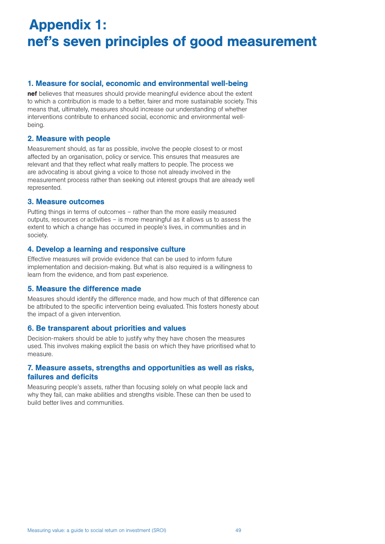# Appendix 1: nef's seven principles of good measurement

## 1. Measure for social, economic and environmental well-being

nef believes that measures should provide meaningful evidence about the extent to which a contribution is made to a better, fairer and more sustainable society. This means that, ultimately, measures should increase our understanding of whether interventions contribute to enhanced social, economic and environmental wellbeing.

#### 2. Measure with people

Measurement should, as far as possible, involve the people closest to or most affected by an organisation, policy or service. This ensures that measures are relevant and that they reflect what really matters to people. The process we are advocating is about giving a voice to those not already involved in the measurement process rather than seeking out interest groups that are already well represented.

#### 3. Measure outcomes

Putting things in terms of outcomes – rather than the more easily measured outputs, resources or activities – is more meaningful as it allows us to assess the extent to which a change has occurred in people's lives, in communities and in society.

## 4. Develop a learning and responsive culture

Effective measures will provide evidence that can be used to inform future implementation and decision-making. But what is also required is a willingness to learn from the evidence, and from past experience.

#### 5. Measure the difference made

Measures should identify the difference made, and how much of that difference can be attributed to the specific intervention being evaluated. This fosters honesty about the impact of a given intervention.

#### 6. Be transparent about priorities and values

Decision-makers should be able to justify why they have chosen the measures used. This involves making explicit the basis on which they have prioritised what to measure.

## 7. Measure assets, strengths and opportunities as well as risks, failures and deficits

Measuring people's assets, rather than focusing solely on what people lack and why they fail, can make abilities and strengths visible. These can then be used to build better lives and communities.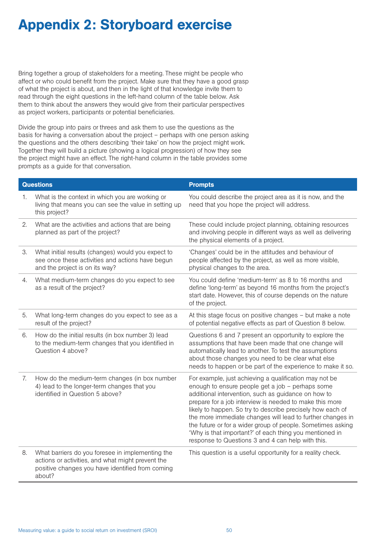## Appendix 2: Storyboard exercise

Bring together a group of stakeholders for a meeting. These might be people who affect or who could benefit from the project. Make sure that they have a good grasp of what the project is about, and then in the light of that knowledge invite them to read through the eight questions in the left-hand column of the table below. Ask them to think about the answers they would give from their particular perspectives as project workers, participants or potential beneficiaries.

Divide the group into pairs or threes and ask them to use the questions as the basis for having a conversation about the project – perhaps with one person asking the questions and the others describing 'their take' on how the project might work. Together they will build a picture (showing a logical progression) of how they see the project might have an effect. The right-hand column in the table provides some prompts as a guide for that conversation.

|    | <b>Questions</b>                                                                                                                                                    | <b>Prompts</b>                                                                                                                                                                                                                                                                                                                                                                                                                                                                                                                          |
|----|---------------------------------------------------------------------------------------------------------------------------------------------------------------------|-----------------------------------------------------------------------------------------------------------------------------------------------------------------------------------------------------------------------------------------------------------------------------------------------------------------------------------------------------------------------------------------------------------------------------------------------------------------------------------------------------------------------------------------|
| 1. | What is the context in which you are working or<br>living that means you can see the value in setting up<br>this project?                                           | You could describe the project area as it is now, and the<br>need that you hope the project will address.                                                                                                                                                                                                                                                                                                                                                                                                                               |
| 2. | What are the activities and actions that are being<br>planned as part of the project?                                                                               | These could include project planning, obtaining resources<br>and involving people in different ways as well as delivering<br>the physical elements of a project.                                                                                                                                                                                                                                                                                                                                                                        |
| 3. | What initial results (changes) would you expect to<br>see once these activities and actions have begun<br>and the project is on its way?                            | 'Changes' could be in the attitudes and behaviour of<br>people affected by the project, as well as more visible,<br>physical changes to the area.                                                                                                                                                                                                                                                                                                                                                                                       |
| 4. | What medium-term changes do you expect to see<br>as a result of the project?                                                                                        | You could define 'medium-term' as 8 to 16 months and<br>define 'long-term' as beyond 16 months from the project's<br>start date. However, this of course depends on the nature<br>of the project.                                                                                                                                                                                                                                                                                                                                       |
| 5. | What long-term changes do you expect to see as a<br>result of the project?                                                                                          | At this stage focus on positive changes - but make a note<br>of potential negative effects as part of Question 8 below.                                                                                                                                                                                                                                                                                                                                                                                                                 |
| 6. | How do the initial results (in box number 3) lead<br>to the medium-term changes that you identified in<br>Question 4 above?                                         | Questions 6 and 7 present an opportunity to explore the<br>assumptions that have been made that one change will<br>automatically lead to another. To test the assumptions<br>about those changes you need to be clear what else<br>needs to happen or be part of the experience to make it so.                                                                                                                                                                                                                                          |
| 7. | How do the medium-term changes (in box number<br>4) lead to the longer-term changes that you<br>identified in Question 5 above?                                     | For example, just achieving a qualification may not be<br>enough to ensure people get a job - perhaps some<br>additional intervention, such as guidance on how to<br>prepare for a job interview is needed to make this more<br>likely to happen. So try to describe precisely how each of<br>the more immediate changes will lead to further changes in<br>the future or for a wider group of people. Sometimes asking<br>'Why is that important?' of each thing you mentioned in<br>response to Questions 3 and 4 can help with this. |
| 8. | What barriers do you foresee in implementing the<br>actions or activities, and what might prevent the<br>positive changes you have identified from coming<br>about? | This question is a useful opportunity for a reality check.                                                                                                                                                                                                                                                                                                                                                                                                                                                                              |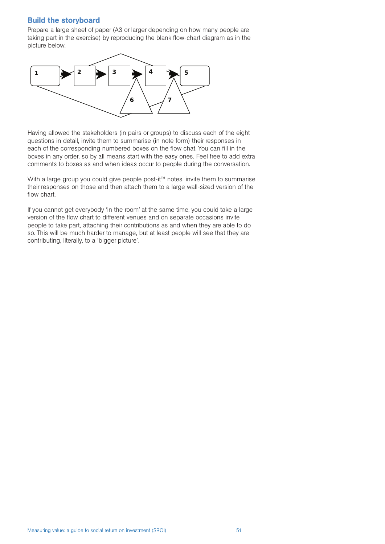#### Build the storyboard

Prepare a large sheet of paper (A3 or larger depending on how many people are taking part in the exercise) by reproducing the blank flow-chart diagram as in the picture below.



Having allowed the stakeholders (in pairs or groups) to discuss each of the eight questions in detail, invite them to summarise (in note form) their responses in each of the corresponding numbered boxes on the flow chat. You can fill in the boxes in any order, so by all means start with the easy ones. Feel free to add extra comments to boxes as and when ideas occur to people during the conversation.

With a large group you could give people post-it™ notes, invite them to summarise their responses on those and then attach them to a large wall-sized version of the flow chart.

If you cannot get everybody 'in the room' at the same time, you could take a large version of the flow chart to different venues and on separate occasions invite people to take part, attaching their contributions as and when they are able to do so. This will be much harder to manage, but at least people will see that they are contributing, literally, to a 'bigger picture'.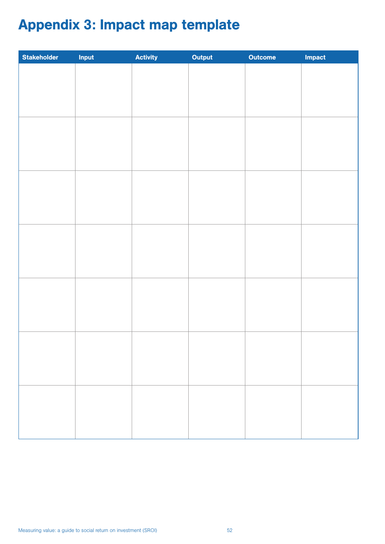# Appendix 3: Impact map template

| Stakeholder | Input | Activity | Output | <b>Outcome</b> | Impact |
|-------------|-------|----------|--------|----------------|--------|
|             |       |          |        |                |        |
|             |       |          |        |                |        |
|             |       |          |        |                |        |
|             |       |          |        |                |        |
|             |       |          |        |                |        |
|             |       |          |        |                |        |
|             |       |          |        |                |        |
|             |       |          |        |                |        |
|             |       |          |        |                |        |
|             |       |          |        |                |        |
|             |       |          |        |                |        |
|             |       |          |        |                |        |
|             |       |          |        |                |        |
|             |       |          |        |                |        |
|             |       |          |        |                |        |
|             |       |          |        |                |        |
|             |       |          |        |                |        |
|             |       |          |        |                |        |
|             |       |          |        |                |        |
|             |       |          |        |                |        |
|             |       |          |        |                |        |
|             |       |          |        |                |        |
|             |       |          |        |                |        |
|             |       |          |        |                |        |
|             |       |          |        |                |        |
|             |       |          |        |                |        |
|             |       |          |        |                |        |
|             |       |          |        |                |        |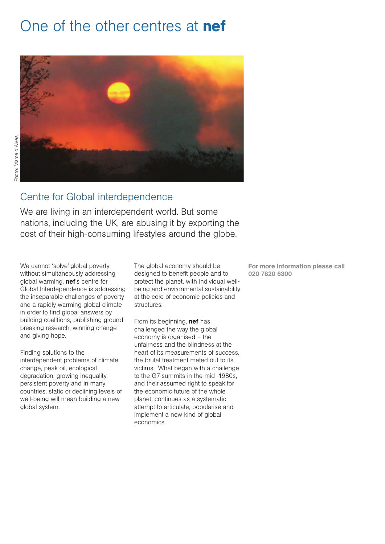# One of the other centres at **nef**



## Centre for Global interdependence

We are living in an interdependent world. But some nations, including the UK, are abusing it by exporting the cost of their high-consuming lifestyles around the globe.

We cannot 'solve' global poverty without simultaneously addressing global warming. **nef**'s centre for Global Interdependence is addressing the inseparable challenges of poverty and a rapidly warming global climate in order to find global answers by building coalitions, publishing ground breaking research, winning change and giving hope.

Finding solutions to the interdependent problems of climate change, peak oil, ecological degradation, growing inequality, persistent poverty and in many countries, static or declining levels of well-being will mean building a new global system.

The global economy should be designed to benefit people and to protect the planet, with individual wellbeing and environmental sustainability at the core of economic policies and structures.

From its beginning, **nef** has challenged the way the global economy is organised – the unfairness and the blindness at the heart of its measurements of success, the brutal treatment meted out to its victims. What began with a challenge to the G7 summits in the mid -1980s, and their assumed right to speak for the economic future of the whole planet, continues as a systematic attempt to articulate, popularise and implement a new kind of global economics.

For more information please call 020 7820 6300